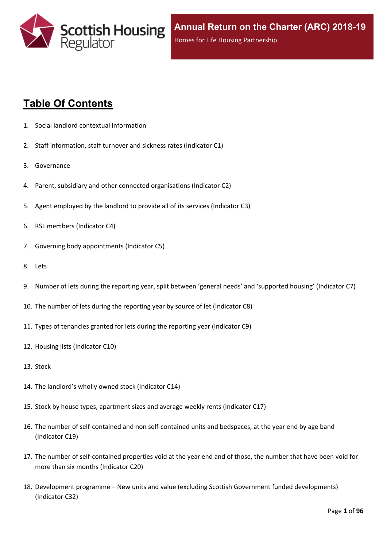

# **Table Of Contents**

- 1. Social landlord contextual [information](#page-5-0)
- 2. Staff [information,](#page-6-0) staff turnover and sickness rates (Indicator C1)
- 3. [Governance](#page-8-0)
- 4. Parent, subsidiary and other connected [organisations](#page-9-0) (Indicator C2)
- 5. Agent [employed](#page-10-0) by the landlord to provide all of its services (Indicator C3)
- 6. RSL members [\(Indicator](#page-11-0) C4)
- 7. Governing body [appointments](#page-12-0) (Indicator C5)
- 8. [Lets](#page-13-0)
- 9. Number of lets during the reporting year, split between 'general needs' and ['supported](#page-14-0) housing' (Indicator C7)
- 10. The number of lets during the reporting year by source of let [\(Indicator](#page-15-0) C8)
- 11. Types of tenancies granted for lets during the reporting year [\(Indicator](#page-16-0) C9)
- 12. Housing lists [\(Indicator](#page-17-0) C10)
- 13. [Stock](#page-18-0)
- 14. The [landlord's](#page-19-0) wholly owned stock (Indicator C14)
- 15. Stock by house types, [apartment](#page-20-0) sizes and average weekly rents (Indicator C17)
- 16. The number of self-contained and non [self-contained](#page-21-0) units and bedspaces, at the year end by age band [\(Indicator](#page-21-0) C19)
- 17. The number of [self-contained](#page-22-0) properties void at the year end and of those, the number that have been void for more than six months [\(Indicator](#page-22-0) C20)
- 18. [Development](#page-23-0) programme [–](#page-23-0) New units and value (excluding Scottish Government funded [developments\)](#page-23-0) [\(Indicator](#page-23-0) C32)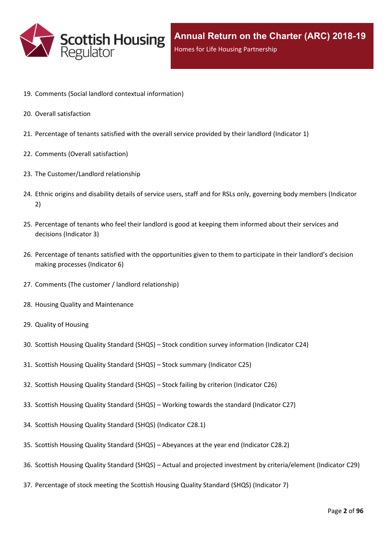

- 19. Comments (Social landlord contextual [information\)](#page-25-0)
- 20. Overall [satisfaction](#page-26-0)
- 21. [Percentage](#page-27-0) of tenants satisfied with the overall service provided by their landlord (Indicator 1)
- 22. Comments (Overall [satisfaction\)](#page-29-0)
- 23. The [Customer/Landlord](#page-30-0) relationship
- 24. Ethnic origins and disability details of service users, staff and for RSLs only, [governing](#page-31-0) body members (Indicator [2\)](#page-31-0)
- 25. [Percentage](#page-33-0) of tenants who feel their landlord is good at keeping them informed about their services and [decisions](#page-33-0) [\(Indicator](#page-33-0) 3)
- 26. Percentage of tenants satisfied with the [opportunities](#page-34-0) given to them to participate in their landlord's decision making [processes](#page-34-0) (Indicator 6)
- 27. Comments (The customer / landlord [relationship\)](#page-35-0)
- 28. Housing Quality and [Maintenance](#page-36-0)
- 29. Quality of [Housing](#page-37-0)
- 30. Scottish Housing Quality [Standard](#page-38-0) (SHQS) [–](#page-38-0) Stock condition survey [information](#page-38-0) (Indicator C24)
- 31. Scottish Housing Quality [Standard](#page-39-0) (SHQS) [–](#page-39-0) Stock summary [\(Indicator](#page-39-0) C25)
- 32. Scottish Housing Quality [Standard](#page-41-0) (SHQS) [–](#page-41-0) Stock failing by criterion [\(Indicator](#page-41-0) C26)
- 33. Scottish Housing Quality [Standard](#page-42-0) (SHQS) [–](#page-42-0) Working towards the standard [\(Indicator](#page-42-0) C27)
- 34. Scottish Housing Quality Standard (SHQS) [\(Indicator](#page-43-0) C28.1)
- 35. Scottish Housing Quality [Standard](#page-44-0) (SHQS) [–](#page-44-0) [Abeyances](#page-44-0) at the year end (Indicator C28.2)
- 36. Scottish Housing Quality [Standard](#page-45-0) (SHQS) [–](#page-45-0) Actual and projected investment by [criteria/element](#page-45-0) (Indicator C29)
- 37. [Percentage](#page-46-0) of stock meeting the Scottish Housing Quality Standard (SHQS) (Indicator 7)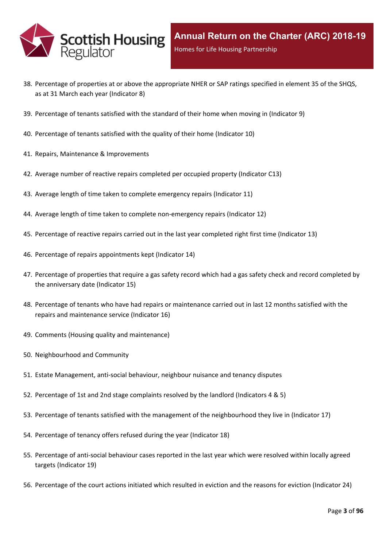

- 38. Percentage of properties at or above the [appropriate](#page-47-0) NHER or SAP ratings specified in element 35 of the SHQS, as at 31 March each year [\(Indicator](#page-47-0) 8)
- 39. [Percentage](#page-48-0) of tenants satisfied with the standard of their home when moving in (Indicator 9)
- 40. [Percentage](#page-49-0) of tenants satisfied with the quality of their home (Indicator 10)
- 41. Repairs, Maintenance & [Improvements](#page-50-0)
- 42. Average number of reactive repairs [completed](#page-51-0) per occupied property (Indicator C13)
- 43. Average length of time taken to complete [emergency](#page-52-0) repairs (Indicator 11)
- 44. Average length of time taken to complete [non-emergency](#page-53-0) repairs (Indicator 12)
- 45. [Percentage](#page-54-0) of reactive repairs carried out in the last year completed right first time (Indicator 13)
- 46. Percentage of repairs [appointments](#page-55-0) kept (Indicator 14)
- 47. [Percentage](#page-56-0) of properties that require a gas safety record which had a gas safety check and record completed by the [anniversary](#page-56-0) date (Indicator 15)
- 48. Percentage of tenants who have had repairs or [maintenance](#page-57-0) carried out in last 12 months satisfied with the repairs and [maintenance](#page-57-0) service (Indicator 16)
- 49. Comments (Housing quality and [maintenance\)](#page-58-0)
- 50. [Neighbourhood](#page-59-0) and Community
- 51. Estate [Management,](#page-60-0) anti-social behaviour, neighbour nuisance and tenancy disputes
- 52. [Percentage](#page-61-0) of 1st and 2nd stage complaints resolved by the landlord (Indicators 4 & 5)
- 53. Percentage of tenants satisfied with the management of the [neighbourhood](#page-64-0) they live in (Indicator 17)
- 54. [Percentage](#page-65-0) of tenancy offers refused during the year (Indicator 18)
- 55. [Percentage](#page-66-0) of anti-social behaviour cases reported in the last year which were resolved within locally agreed targets [\(Indicator](#page-66-0) 19)
- 56. [Percentage](#page-67-0) of the court actions initiated which resulted in eviction and the reasons for eviction (Indicator 24)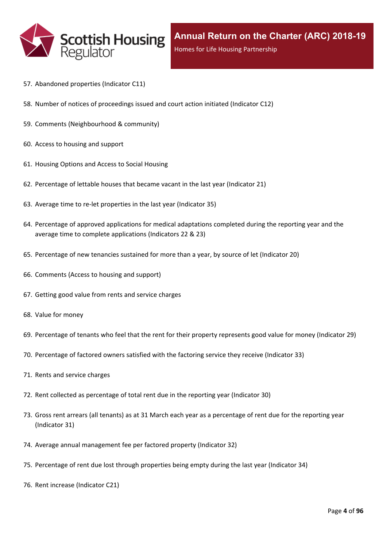

- 57. [Abandoned](#page-68-0) properties (Indicator C11)
- 58. Number of notices of [proceedings](#page-69-0) issued and court action initiated (Indicator C12)
- 59. Comments [\(Neighbourhood](#page-70-0) & community)
- 60. Access to [housing](#page-71-0) and support
- 61. [Housing](#page-72-0) Options and Access to Social Housing
- 62. [Percentage](#page-73-0) of lettable houses that became vacant in the last year (Indicator 21)
- 63. Average time to re-let [properties](#page-74-0) in the last year (Indicator 35)
- 64. Percentage of approved [applications](#page-75-0) for medical adaptations completed during the reporting year and the average time to complete [applications](#page-75-0) (Indicators 22 & 23)
- 65. [Percentage](#page-76-0) of new tenancies sustained for more than a year, by source of let (Indicator 20)
- 66. [Comments](#page-78-0) (Access to housing and support)
- 67. Getting good value from rents and service [charges](#page-79-0)
- 68. Value for [money](#page-80-0)
- 69. [Percentage](#page-81-0) of tenants who feel that the rent for their property represents good value for money (Indicator 29)
- 70. [Percentage](#page-82-0) of factored owners satisfied with the factoring service they receive (Indicator 33)
- 71. Rents and service [charges](#page-83-0)
- 72. Rent collected as [percentage](#page-84-0) of total rent due in the reporting year (Indicator 30)
- 73. Gross rent arrears (all tenants) as at 31 March each year as a [percentage](#page-85-0) of rent due for the reporting year [\(Indicator](#page-85-0) 31)
- 74. Average annual [management](#page-86-0) fee per factored property (Indicator 32)
- 75. [Percentage](#page-87-0) of rent due lost through properties being empty during the last year (Indicator 34)
- 76. Rent increase [\(Indicator](#page-88-0) C21)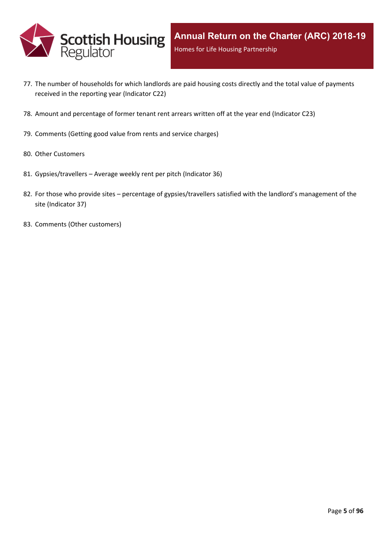

- 77. The number of [households](#page-89-0) for which landlords are paid housing costs directly and the total value of payments received in the reporting year [\(Indicator](#page-89-0) C22)
- 78. Amount and [percentage](#page-90-0) of former tenant rent arrears written off at the year end (Indicator C23)
- 79. [Comments](#page-91-0) (Getting good value from rents and service charges)
- 80. Other [Customers](#page-92-0)
- 81. [Gypsies/travellers](#page-93-0) [–](#page-93-0) Average weekly rent per pitch [\(Indicator](#page-93-0) 36)
- 82. For those who [provide](#page-94-0) sites [–](#page-94-0) percentage of [gypsies/travellers](#page-94-0) satisfied with the landlord's management of the site [\(Indicator](#page-94-0) 37)
- 83. Comments (Other [customers\)](#page-95-0)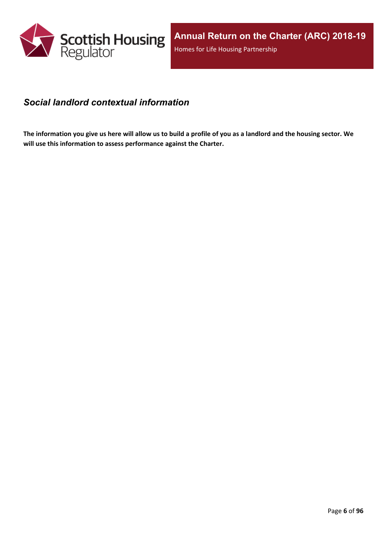

### <span id="page-5-0"></span>*Social landlord contextual information*

The information you give us here will allow us to build a profile of you as a landlord and the housing sector. We **will use this information to assess performance against the Charter.**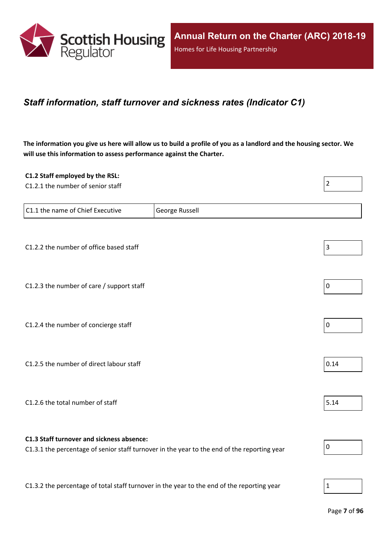

### <span id="page-6-0"></span>*Staff information, staff turnover and sickness rates (Indicator C1)*

The information you give us here will allow us to build a profile of you as a landlord and the housing sector. We **will use this information to assess performance against the Charter.**

| C1.2 Staff employed by the RSL:<br>C1.2.1 the number of senior staff                       |                                                                                             | $\overline{2}$ |
|--------------------------------------------------------------------------------------------|---------------------------------------------------------------------------------------------|----------------|
|                                                                                            |                                                                                             |                |
| C1.1 the name of Chief Executive                                                           | George Russell                                                                              |                |
|                                                                                            |                                                                                             |                |
| C1.2.2 the number of office based staff                                                    |                                                                                             | 3              |
|                                                                                            |                                                                                             |                |
| C1.2.3 the number of care / support staff                                                  |                                                                                             | $\pmb{0}$      |
|                                                                                            |                                                                                             |                |
| C1.2.4 the number of concierge staff                                                       |                                                                                             | $\pmb{0}$      |
|                                                                                            |                                                                                             |                |
| C1.2.5 the number of direct labour staff                                                   |                                                                                             | 0.14           |
|                                                                                            |                                                                                             |                |
| C1.2.6 the total number of staff                                                           |                                                                                             | 5.14           |
|                                                                                            |                                                                                             |                |
| C1.3 Staff turnover and sickness absence:                                                  | C1.3.1 the percentage of senior staff turnover in the year to the end of the reporting year | $\pmb{0}$      |
|                                                                                            |                                                                                             |                |
| C1.3.2 the percentage of total staff turnover in the year to the end of the reporting year |                                                                                             | $\mathbf{1}$   |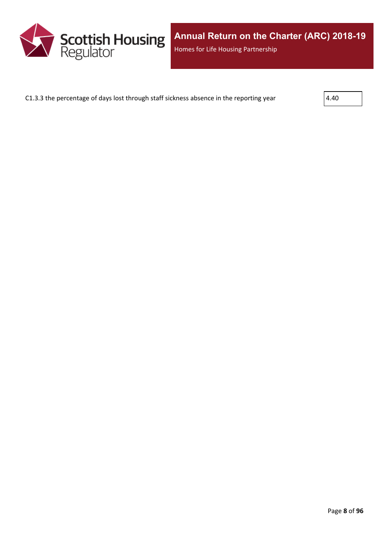

C1.3.3 the percentage of days lost through staff sickness absence in the reporting year  $4.40$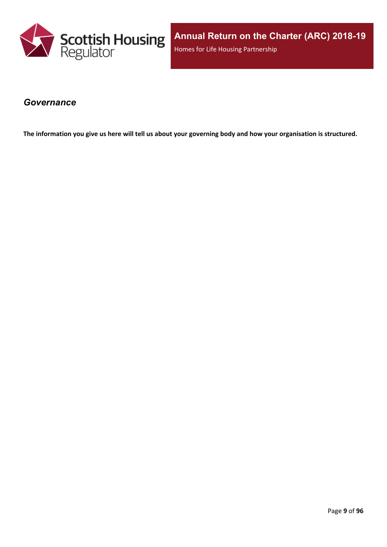

### <span id="page-8-0"></span>*Governance*

The information you give us here will tell us about your governing body and how your organisation is structured.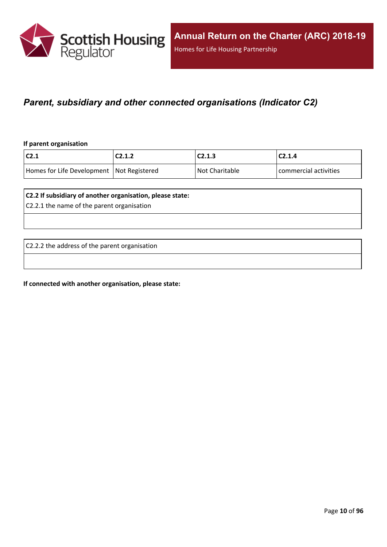

### <span id="page-9-0"></span>*Parent, subsidiary and other connected organisations (Indicator C2)*

#### **If parent organisation**

| $\mathsf{C2.1}$                             | C2.1.2 | C2.1.3         | C2.1.4                |
|---------------------------------------------|--------|----------------|-----------------------|
| Homes for Life Development   Not Registered |        | Not Charitable | commercial activities |

#### **C2.2 If subsidiary of another organisation, please state:**

C2.2.1 the name of the parent organisation

C2.2.2 the address of the parent organisation

**If connected with another organisation, please state:**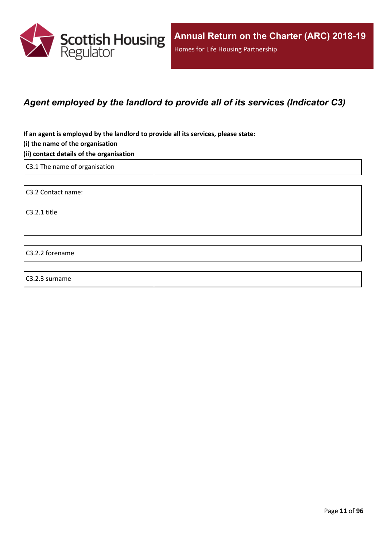

## <span id="page-10-0"></span>*Agent employed by the landlord to provide all of its services (Indicator C3)*

**If an agent is employed by the landlord to provide all its services, please state:**

#### **(i) the name of the organisation**

#### **(ii) contact details of the organisation**

C3.1 The name of organisation

C3.2 Contact name:

C3.2.1 title

C3.2.2 forename

#### C3.2.3 surname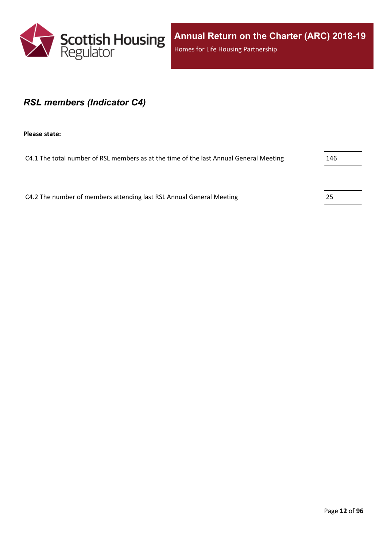

**Annual Return on the Charter (ARC) 2018-19** Homes for Life Housing Partnership

### <span id="page-11-0"></span>*RSL members (Indicator C4)*

**Please state:**

C4.1 The total number of RSL members as at the time of the last Annual General Meeting 20146

C4.2 The number of members attending last RSL Annual General Meeting 25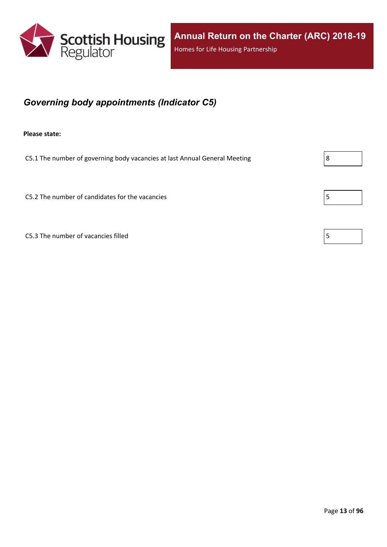

## <span id="page-12-0"></span>*Governing body appointments (Indicator C5)*

**Please state:**

C5.1 The number of governing body vacancies at last Annual General Meeting  $\vert 8 \vert$ 

C5.2 The number of candidates for the vacancies  $\vert$  5

C5.3 The number of vacancies filled  $\vert$  5

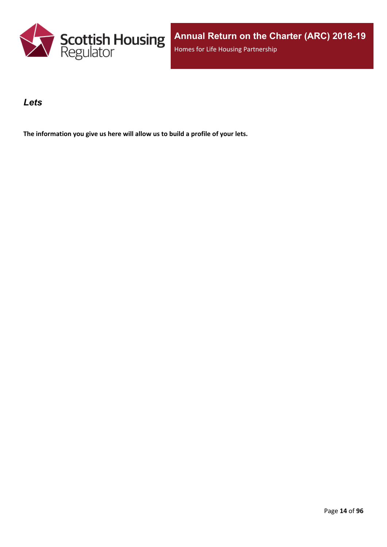

### <span id="page-13-0"></span>*Lets*

**The information you give us here will allow us to build a profile of your lets.**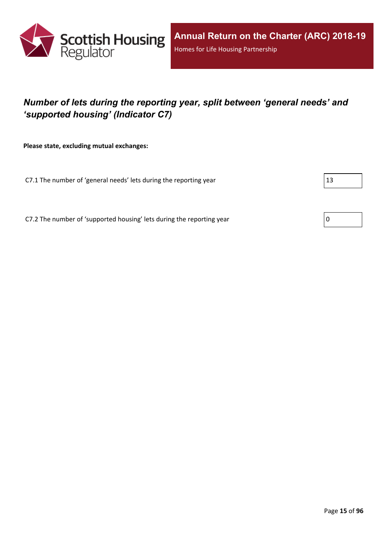

## <span id="page-14-0"></span>*Number of lets during the reporting year, split between 'general needs' and 'supported housing' (Indicator C7)*

**Please state, excluding mutual exchanges:**

C7.1 The number of 'general needs' lets during the reporting year  $|13|$ 

C7.2 The number of 'supported housing' lets during the reporting year  $\vert 0 \rangle$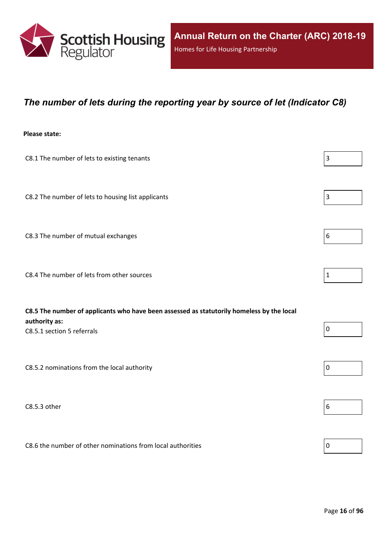

### <span id="page-15-0"></span>*The number of lets during the reporting year by source of let (Indicator C8)*

#### **Please state:**

| C8.1 The number of lets to existing tenants                                                                | $\overline{3}$  |
|------------------------------------------------------------------------------------------------------------|-----------------|
| C8.2 The number of lets to housing list applicants                                                         | $\vert 3 \vert$ |
| C8.3 The number of mutual exchanges                                                                        | 6               |
| C8.4 The number of lets from other sources                                                                 | $\vert$ 1       |
| C8.5 The number of applicants who have been assessed as statutorily homeless by the local<br>authority as: |                 |
| C8.5.1 section 5 referrals                                                                                 | $\overline{0}$  |
| C8.5.2 nominations from the local authority                                                                | $\overline{0}$  |
|                                                                                                            |                 |

C8.5.3 other  $\boxed{6}$ 

C8.6 the number of other nominations from local authorities  $\vert_0$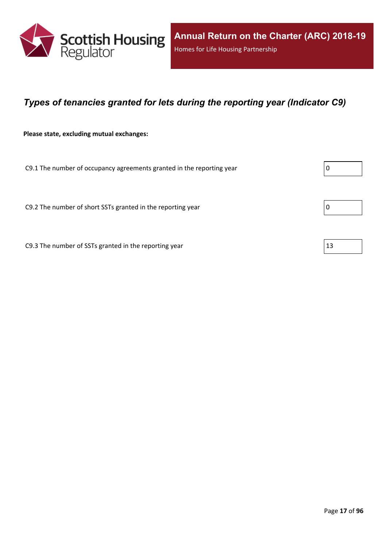

### <span id="page-16-0"></span>*Types of tenancies granted for lets during the reporting year (Indicator C9)*

**Please state, excluding mutual exchanges:**

C9.1 The number of occupancy agreements granted in the reporting year  $\vert 0 \rangle$ 

C9.2 The number of short SSTs granted in the reporting year  $\vert$  0

C9.3 The number of SSTs granted in the reporting year  $|13|$ 

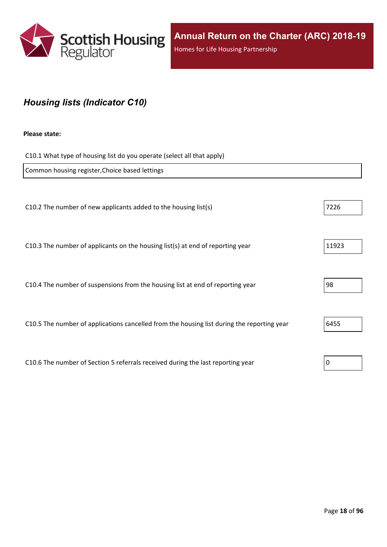

## <span id="page-17-0"></span>*Housing lists (Indicator C10)*

#### **Please state:**

C10.1 What type of housing list do you operate (select all that apply)

| Common housing register, Choice based lettings                                             |       |
|--------------------------------------------------------------------------------------------|-------|
|                                                                                            |       |
| C10.2 The number of new applicants added to the housing list(s)                            | 7226  |
|                                                                                            |       |
| C10.3 The number of applicants on the housing list(s) at end of reporting year             | 11923 |
|                                                                                            |       |
| C10.4 The number of suspensions from the housing list at end of reporting year             | 98    |
|                                                                                            |       |
| C10.5 The number of applications cancelled from the housing list during the reporting year | 6455  |
|                                                                                            |       |
| C10.6 The number of Section 5 referrals received during the last reporting year            | 0     |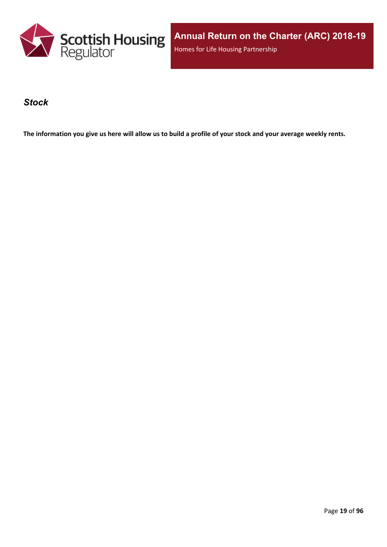

**Annual Return on the Charter (ARC) 2018-19** Homes for Life Housing Partnership

### <span id="page-18-0"></span>*Stock*

The information you give us here will allow us to build a profile of your stock and your average weekly rents.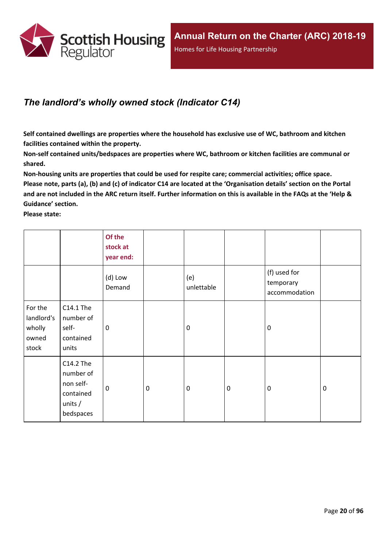

## <span id="page-19-0"></span>*The landlord's wholly owned stock (Indicator C14)*

**Self contained dwellings are properties where the household has exclusive use of WC, bathroom and kitchen facilities contained within the property.**

**Non-self contained units/bedspaces are properties where WC, bathroom or kitchen facilities are communal or shared.**

**Non-housing units are properties that could be used for respite care; commercial activities; office space.** Please note, parts (a), (b) and (c) of indicator C14 are located at the 'Organisation details' section on the Portal and are not included in the ARC return itself. Further information on this is available in the FAQs at the 'Help & **Guidance' section.**

**Please state:**

|                                                   |                                                                            | Of the<br>stock at<br>year end: |                  |                   |           |                                            |             |
|---------------------------------------------------|----------------------------------------------------------------------------|---------------------------------|------------------|-------------------|-----------|--------------------------------------------|-------------|
|                                                   |                                                                            | (d) Low<br>Demand               |                  | (e)<br>unlettable |           | (f) used for<br>temporary<br>accommodation |             |
| For the<br>landlord's<br>wholly<br>owned<br>stock | C14.1 The<br>number of<br>self-<br>contained<br>units                      | 0                               |                  | $\mathbf 0$       |           | $\mathbf 0$                                |             |
|                                                   | C14.2 The<br>number of<br>non self-<br>contained<br>units $/$<br>bedspaces | $\mathbf 0$                     | $\boldsymbol{0}$ | $\boldsymbol{0}$  | $\pmb{0}$ | $\mathbf 0$                                | $\mathbf 0$ |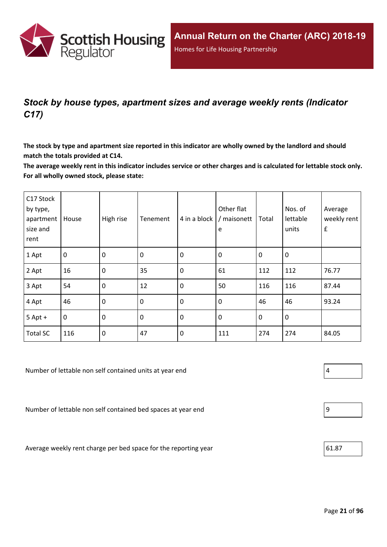

## <span id="page-20-0"></span>*Stock by house types, apartment sizes and average weekly rents (Indicator C17)*

The stock by type and apartment size reported in this indicator are wholly owned by the landlord and should **match the totals provided at C14.**

The average weekly rent in this indicator includes service or other charges and is calculated for lettable stock only. **For all wholly owned stock, please state:**

| C17 Stock<br>by type,<br>apartment<br>size and<br>rent | House          | High rise        | Tenement | 4 in a block | Other flat<br>/ maisonett<br>e | Total       | Nos. of<br>lettable<br>units | Average<br>weekly rent<br>$\pmb{\mathsf{f}}$ |
|--------------------------------------------------------|----------------|------------------|----------|--------------|--------------------------------|-------------|------------------------------|----------------------------------------------|
| 1 Apt                                                  | $\mathbf 0$    | $\mathbf 0$      | 0        | $\mathbf 0$  | 0                              | $\mathbf 0$ | 0                            |                                              |
| 2 Apt                                                  | 16             | $\mathbf 0$      | 35       | $\mathbf 0$  | 61                             | 112         | 112                          | 76.77                                        |
| 3 Apt                                                  | 54             | $\mathbf 0$      | 12       | $\mathbf 0$  | 50                             | 116         | 116                          | 87.44                                        |
| 4 Apt                                                  | 46             | $\mathbf 0$      | 0        | $\mathbf 0$  | $\boldsymbol{0}$               | 46          | 46                           | 93.24                                        |
| $5$ Apt +                                              | $\overline{0}$ | $\boldsymbol{0}$ | 0        | $\mathbf 0$  | $\boldsymbol{0}$               | $\mathbf 0$ | 0                            |                                              |
| <b>Total SC</b>                                        | 116            | $\boldsymbol{0}$ | 47       | $\mathbf 0$  | 111                            | 274         | 274                          | 84.05                                        |

Number of lettable non self contained units at year end  $\vert 4 \vert$ 

Number of lettable non self contained bed spaces at year end 9

Average weekly rent charge per bed space for the reporting year  $\vert$  61.87



| 9 |  |  |  |
|---|--|--|--|
|   |  |  |  |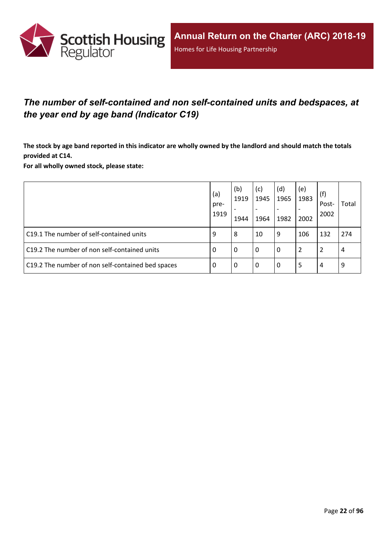

## <span id="page-21-0"></span>*The number of self-contained and non self-contained units and bedspaces, at the year end by age band (Indicator C19)*

The stock by age band reported in this indicator are wholly owned by the landlord and should match the totals **provided at C14.**

**For all wholly owned stock, please state:**

|                                                   | (a)<br>pre-<br>1919 | (b)<br>1919<br>1944 | (c)<br>1945<br>$\overline{\phantom{a}}$<br>1964 | (d)<br>1965<br>$\overline{\phantom{0}}$<br>1982 | (e)<br>1983<br>2002 | (f)<br>Post-<br>2002 | Total |
|---------------------------------------------------|---------------------|---------------------|-------------------------------------------------|-------------------------------------------------|---------------------|----------------------|-------|
| C19.1 The number of self-contained units          | 9                   | 8                   | 10                                              | 9                                               | 106                 | 132                  | 274   |
| C19.2 The number of non self-contained units      | -0                  | 0                   | l 0                                             | 0                                               | 2                   |                      | 4     |
| C19.2 The number of non self-contained bed spaces | -0                  | 0                   | l 0                                             | 0                                               | 5                   | 4                    | 9     |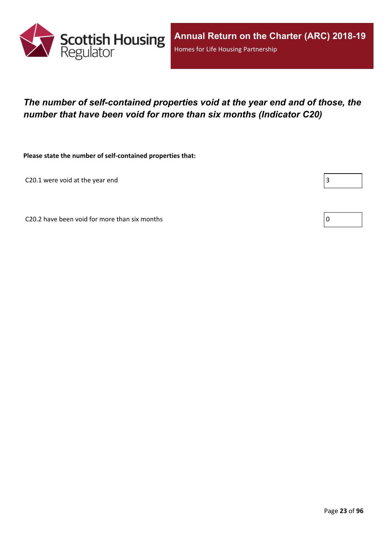

## <span id="page-22-0"></span>*The number of self-contained properties void at the year end and of those, the number that have been void for more than six months (Indicator C20)*

**Please state the number of self-contained properties that:**

C20.1 were void at the year end  $\begin{bmatrix} \end{bmatrix}$ 

٦

C20.2 have been void for more than six months  $\vert 0 \rangle$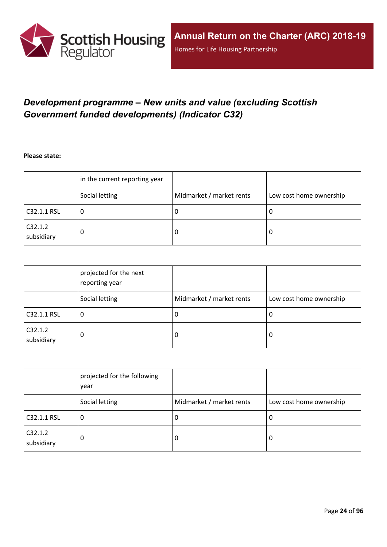

## <span id="page-23-0"></span>*Development programme – New units and value (excluding Scottish Government funded developments) (Indicator C32)*

**Please state:**

|                       | in the current reporting year |                          |                         |
|-----------------------|-------------------------------|--------------------------|-------------------------|
|                       | Social letting                | Midmarket / market rents | Low cost home ownership |
| C32.1.1 RSL           | υ                             | υ                        | ∣U                      |
| C32.1.2<br>subsidiary | 0                             | υ                        | -0                      |

|                       | projected for the next<br>reporting year |                          |                         |
|-----------------------|------------------------------------------|--------------------------|-------------------------|
|                       | Social letting                           | Midmarket / market rents | Low cost home ownership |
| C32.1.1 RSL           | 0                                        | J.                       | 0                       |
| C32.1.2<br>subsidiary | 0                                        | 0                        | 0                       |

|                       | projected for the following<br>year |                          |                         |
|-----------------------|-------------------------------------|--------------------------|-------------------------|
|                       | Social letting                      | Midmarket / market rents | Low cost home ownership |
| C32.1.1 RSL           | 0                                   | -U                       | 0                       |
| C32.1.2<br>subsidiary | 0                                   | 0                        | 0                       |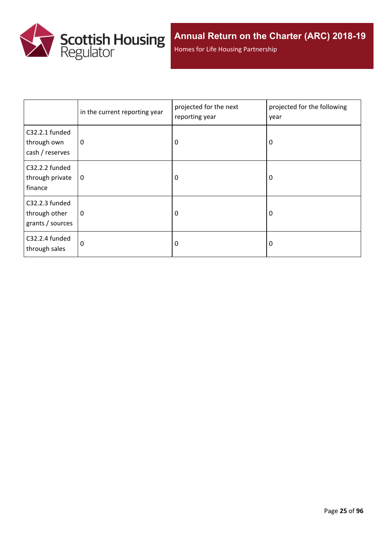

Homes for Life Housing Partnership

|                                                     | in the current reporting year | projected for the next<br>reporting year | projected for the following<br>year |
|-----------------------------------------------------|-------------------------------|------------------------------------------|-------------------------------------|
| C32.2.1 funded<br>through own<br>cash / reserves    | 0                             | 0                                        | 0                                   |
| C32.2.2 funded<br>through private<br>finance        | 0                             | 0                                        | 0                                   |
| C32.2.3 funded<br>through other<br>grants / sources | 0                             | 0                                        | 0                                   |
| C32.2.4 funded<br>through sales                     | 0                             | 0                                        | 0                                   |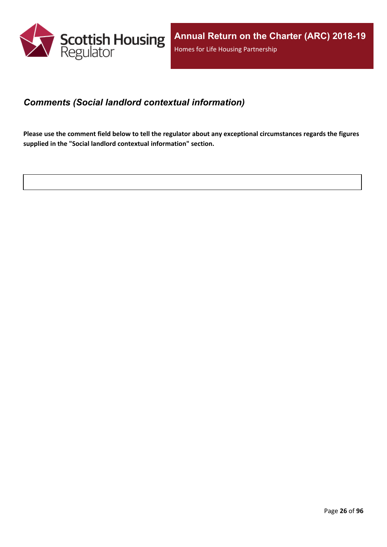

### <span id="page-25-0"></span>*Comments (Social landlord contextual information)*

Please use the comment field below to tell the regulator about any exceptional circumstances regards the figures **supplied in the "Social landlord contextual information" section.**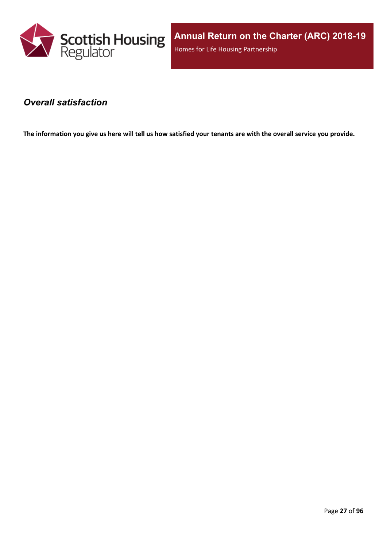

**Annual Return on the Charter (ARC) 2018-19** Homes for Life Housing Partnership

### <span id="page-26-0"></span>*Overall satisfaction*

The information you give us here will tell us how satisfied your tenants are with the overall service you provide.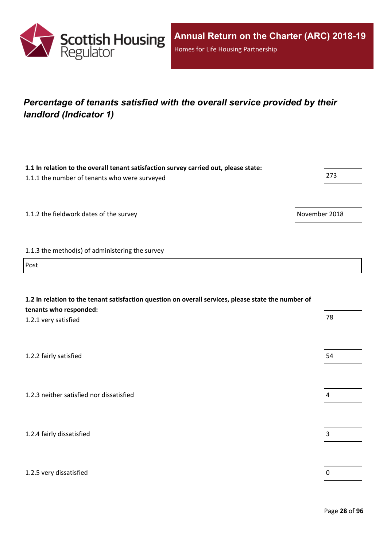

## <span id="page-27-0"></span>*Percentage of tenants satisfied with the overall service provided by their landlord (Indicator 1)*

| 1.1 In relation to the overall tenant satisfaction survey carried out, please state:<br>1.1.1 the number of tenants who were surveyed                 | 273            |
|-------------------------------------------------------------------------------------------------------------------------------------------------------|----------------|
| 1.1.2 the fieldwork dates of the survey                                                                                                               | November 2018  |
| 1.1.3 the method(s) of administering the survey                                                                                                       |                |
| Post                                                                                                                                                  |                |
| 1.2 In relation to the tenant satisfaction question on overall services, please state the number of<br>tenants who responded:<br>1.2.1 very satisfied | 78             |
| 1.2.2 fairly satisfied                                                                                                                                | 54             |
| 1.2.3 neither satisfied nor dissatisfied                                                                                                              | $\sqrt{4}$     |
| 1.2.4 fairly dissatisfied                                                                                                                             | $\mathsf 3$    |
| 1.2.5 very dissatisfied                                                                                                                               | $\overline{0}$ |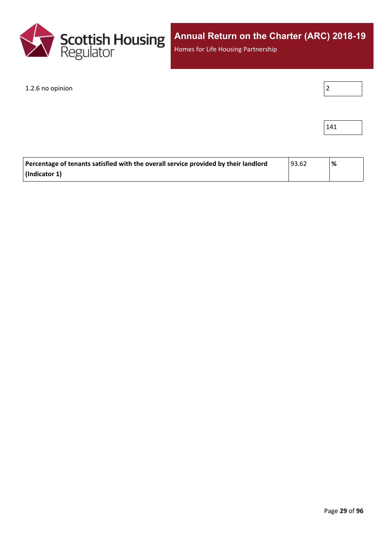

Homes for Life Housing Partnership

1.2.6 no opinion

|--|

| 4 |  |
|---|--|
|---|--|

| Percentage of tenants satisfied with the overall service provided by their landlord | 193.62 | '% |
|-------------------------------------------------------------------------------------|--------|----|
| $\vert$ (Indicator 1)                                                               |        |    |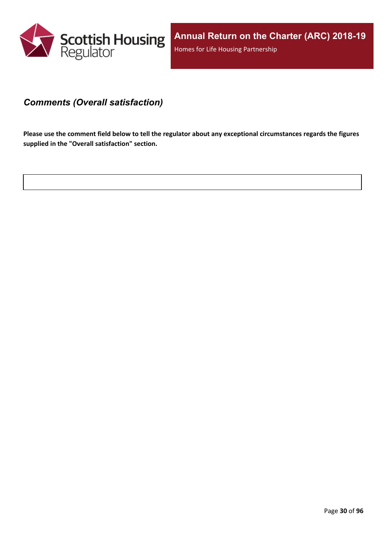

### <span id="page-29-0"></span>*Comments (Overall satisfaction)*

Please use the comment field below to tell the regulator about any exceptional circumstances regards the figures **supplied in the "Overall satisfaction" section.**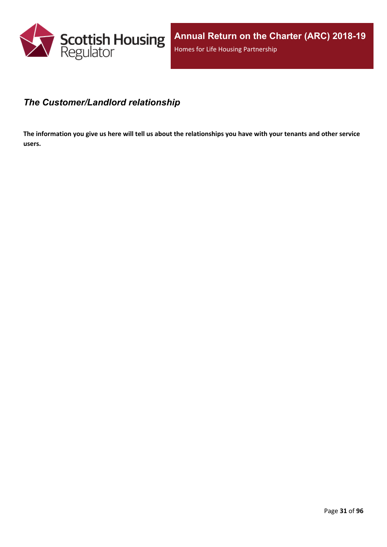

### <span id="page-30-0"></span>*The Customer/Landlord relationship*

The information you give us here will tell us about the relationships you have with your tenants and other service **users.**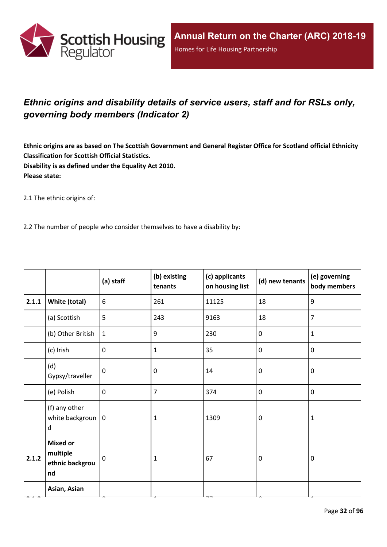

## <span id="page-31-0"></span>*Ethnic origins and disability details of service users, staff and for RSLs only, governing body members (Indicator 2)*

Ethnic origins are as based on The Scottish Government and General Register Office for Scotland official Ethnicity **Classification for Scottish Official Statistics. Disability is as defined under the Equality Act 2010. Please state:**

2.1 The ethnic origins of:

2.2 The number of people who consider themselves to have a disability by:

|       |                                                      | (a) staff    | (b) existing<br>tenants | (c) applicants<br>on housing list | (d) new tenants | (e) governing<br>body members |
|-------|------------------------------------------------------|--------------|-------------------------|-----------------------------------|-----------------|-------------------------------|
| 2.1.1 | White (total)                                        | 6            | 261                     | 11125                             | 18              | $9\,$                         |
|       | (a) Scottish                                         | 5            | 243                     | 9163                              | 18              | $\overline{7}$                |
|       | (b) Other British                                    | $\mathbf{1}$ | 9                       | 230                               | $\mathbf 0$     | $\mathbf{1}$                  |
|       | (c) Irish                                            | $\mathbf 0$  | $\mathbf{1}$            | 35                                | $\pmb{0}$       | $\pmb{0}$                     |
|       | (d)<br>Gypsy/traveller                               | $\mathbf 0$  | 0                       | 14                                | $\mathbf 0$     | $\mathbf 0$                   |
|       | (e) Polish                                           | $\mathbf 0$  | 7                       | 374                               | $\pmb{0}$       | $\mathbf 0$                   |
|       | (f) any other<br>white backgroun $ 0$<br>d           |              | $\mathbf{1}$            | 1309                              | $\mathbf 0$     | $\mathbf{1}$                  |
| 2.1.2 | <b>Mixed or</b><br>multiple<br>ethnic backgrou<br>nd | $\mathbf 0$  | 1                       | 67                                | $\mathbf 0$     | $\mathbf 0$                   |
|       | Asian, Asian                                         |              |                         |                                   |                 |                               |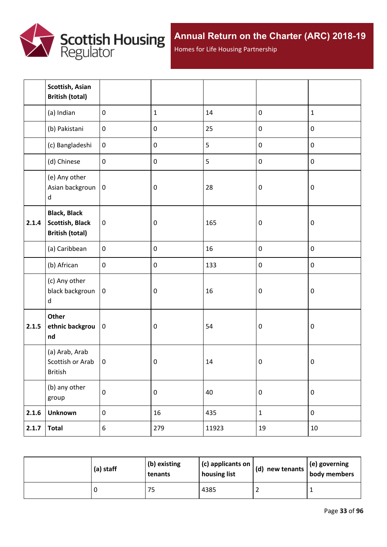

Homes for Life Housing Partnership

|       | Scottish, Asian<br><b>British (total)</b>                               |                  |              |       |                  |                  |
|-------|-------------------------------------------------------------------------|------------------|--------------|-------|------------------|------------------|
|       | (a) Indian                                                              | $\mathbf 0$      | $\mathbf{1}$ | 14    | $\pmb{0}$        | $\mathbf{1}$     |
|       | (b) Pakistani                                                           | $\boldsymbol{0}$ | $\pmb{0}$    | 25    | $\pmb{0}$        | $\pmb{0}$        |
|       | (c) Bangladeshi                                                         | $\boldsymbol{0}$ | $\pmb{0}$    | 5     | $\pmb{0}$        | $\pmb{0}$        |
|       | (d) Chinese                                                             | $\mathbf 0$      | $\pmb{0}$    | 5     | $\pmb{0}$        | $\pmb{0}$        |
|       | (e) Any other<br>Asian backgroun<br>$\sf d$                             | $\pmb{0}$        | $\pmb{0}$    | 28    | $\boldsymbol{0}$ | $\pmb{0}$        |
| 2.1.4 | <b>Black, Black</b><br><b>Scottish, Black</b><br><b>British (total)</b> | $\pmb{0}$        | $\pmb{0}$    | 165   | $\boldsymbol{0}$ | $\pmb{0}$        |
|       | (a) Caribbean                                                           | $\pmb{0}$        | $\pmb{0}$    | 16    | $\pmb{0}$        | $\pmb{0}$        |
|       | (b) African                                                             | $\pmb{0}$        | $\pmb{0}$    | 133   | $\pmb{0}$        | $\pmb{0}$        |
|       | (c) Any other<br>black backgroun<br>d                                   | $\mathbf 0$      | $\pmb{0}$    | 16    | $\boldsymbol{0}$ | $\boldsymbol{0}$ |
| 2.1.5 | Other<br>ethnic backgrou<br>nd                                          | $\pmb{0}$        | $\pmb{0}$    | 54    | $\boldsymbol{0}$ | $\pmb{0}$        |
|       | (a) Arab, Arab<br>Scottish or Arab<br>British                           | $\mathbf 0$      | $\pmb{0}$    | 14    | $\pmb{0}$        | $\pmb{0}$        |
|       | (b) any other<br>group                                                  | $\pmb{0}$        | $\pmb{0}$    | 40    | $\pmb{0}$        | $\pmb{0}$        |
| 2.1.6 | <b>Unknown</b>                                                          | $\boldsymbol{0}$ | 16           | 435   | $\mathbf 1$      | $\pmb{0}$        |
| 2.1.7 | <b>Total</b>                                                            | $6\,$            | 279          | 11923 | 19               | $10\,$           |

| (a) staff | (b) existing<br>tenants | $(c)$ applicants on<br>housing list | $\vert$ (d) new tenants $\vert$ . | $\vert$ (e) governing<br>body members |
|-----------|-------------------------|-------------------------------------|-----------------------------------|---------------------------------------|
|           | 75                      | 4385                                |                                   |                                       |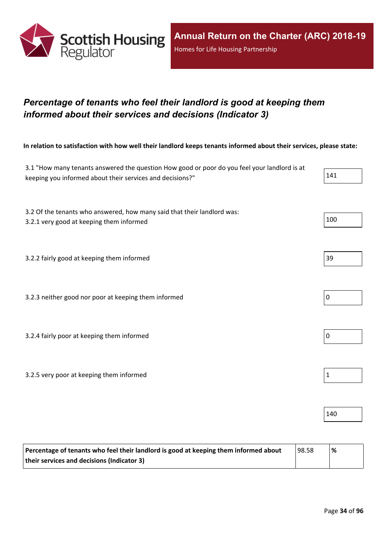

## <span id="page-33-0"></span>*Percentage of tenants who feel their landlord is good at keeping them informed about their services and decisions (Indicator 3)*

In relation to satisfaction with how well their landlord keeps tenants informed about their services, please state:

| 3.1 "How many tenants answered the question How good or poor do you feel your landlord is at<br>keeping you informed about their services and decisions?" | 141         |
|-----------------------------------------------------------------------------------------------------------------------------------------------------------|-------------|
| 3.2 Of the tenants who answered, how many said that their landlord was:<br>3.2.1 very good at keeping them informed                                       | 100         |
| 3.2.2 fairly good at keeping them informed                                                                                                                | 39          |
| 3.2.3 neither good nor poor at keeping them informed                                                                                                      | $\pmb{0}$   |
| 3.2.4 fairly poor at keeping them informed                                                                                                                | $\pmb{0}$   |
| 3.2.5 very poor at keeping them informed                                                                                                                  | $\mathbf 1$ |
|                                                                                                                                                           | 140         |

| Percentage of tenants who feel their landlord is good at keeping them informed about | 98.58 | % |
|--------------------------------------------------------------------------------------|-------|---|
| their services and decisions (Indicator 3)                                           |       |   |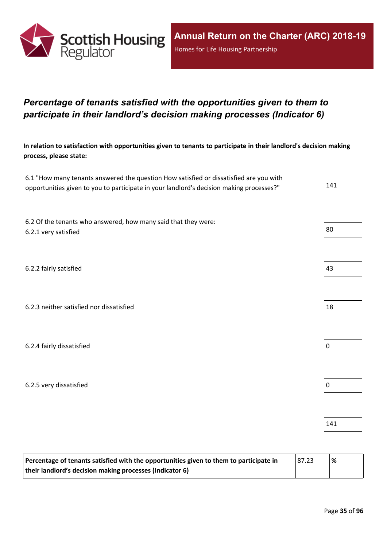

## <span id="page-34-0"></span>*Percentage of tenants satisfied with the opportunities given to them to participate in their landlord's decision making processes (Indicator 6)*

In relation to satisfaction with opportunities given to tenants to participate in their landlord's decision making **process, please state:**

| 6.1 "How many tenants answered the question How satisfied or dissatisfied are you with   |     |
|------------------------------------------------------------------------------------------|-----|
| opportunities given to you to participate in your landlord's decision making processes?" | 141 |

6.2 Of the tenants who answered, how many said that they were: 6.2.1 very satisfied  $\vert$  80

6.2.2 fairly satisfied and the same state of the state of the state of the state of the state of the state of the state of the state of the state of the state of the state of the state of the state of the state of the stat

6.2.3 neither satisfied nor dissatisfied 18

6.2.4 fairly dissatisfied 0

6.2.5 very dissatisfied  $\vert$  0

| Percentage of tenants satisfied with the opportunities given to them to participate in | 87.23 | % |
|----------------------------------------------------------------------------------------|-------|---|
| their landlord's decision making processes (Indicator 6)                               |       |   |



141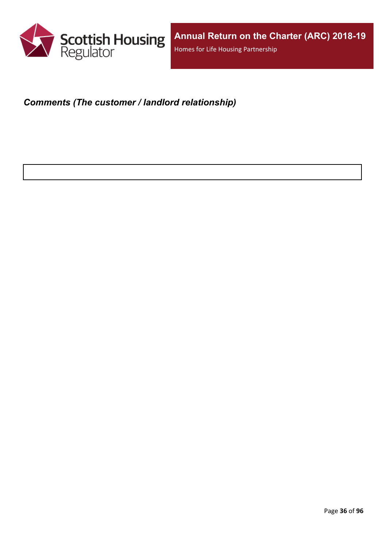

### <span id="page-35-0"></span>*Comments (The customer / landlord relationship)*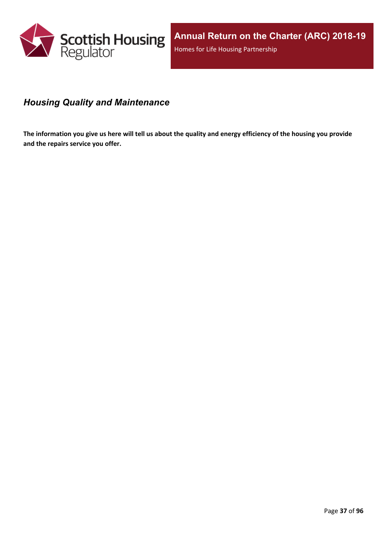

# *Housing Quality and Maintenance*

The information you give us here will tell us about the quality and energy efficiency of the housing you provide **and the repairs service you offer.**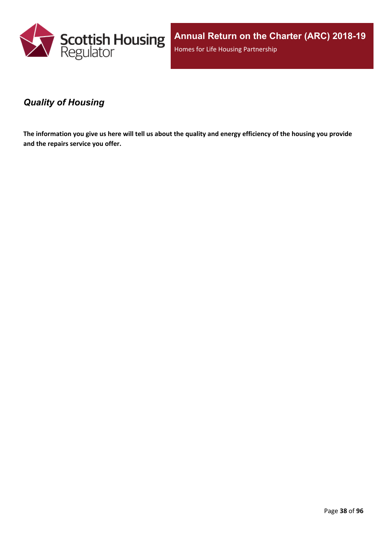

**Annual Return on the Charter (ARC) 2018-19** Homes for Life Housing Partnership

### *Quality of Housing*

The information you give us here will tell us about the quality and energy efficiency of the housing you provide **and the repairs service you offer.**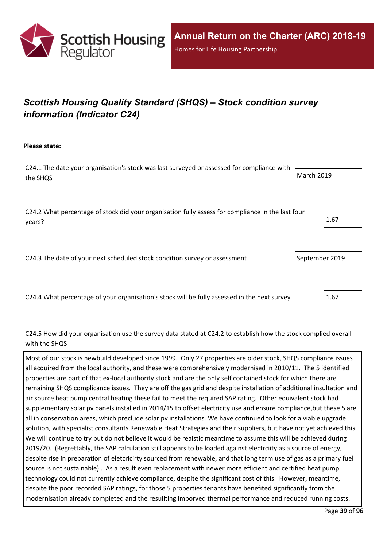

# *Scottish Housing Quality Standard (SHQS) – Stock condition survey information (Indicator C24)*

**Please state:**

C24.1 The date your organisation's stock was last surveyed or assessed for compliance with the SHQS March 2019

C24.2 What percentage of stock did your organisation fully assess for compliance in the last four  $\mu$  years?  $\begin{bmatrix} 1.67 \end{bmatrix}$ 

C24.3 The date of your next scheduled stock condition survey or assessment September 2019

C24.4 What percentage of your organisation's stock will be fully assessed in the next survey 2.67

C24.5 How did your organisation use the survey data stated at C24.2 to establish how the stock complied overall with the SHOS

Most of our stock is newbuild developed since 1999. Only 27 properties are older stock, SHQS compliance issues all acquired from the local authority, and these were comprehensively modernised in 2010/11. The 5 identified properties are part of that ex-local authority stock and are the only self contained stock for which there are remaining SHQS complicance issues. They are off the gas grid and despite installation of additional insultation and air source heat pump central heating these fail to meet the required SAP rating. Other equivalent stock had supplementary solar pv panels installed in 2014/15 to offset electricity use and ensure compliance,but these 5 are all in conservation areas, which preclude solar pv installations. We have continued to look for a viable upgrade solution, with specialist consultants Renewable Heat Strategies and their suppliers, but have not yet achieved this. We will continue to try but do not believe it would be reaistic meantime to assume this will be achieved during 2019/20. (Regrettably, the SAP calculation still appears to be loaded against electrciity as a source of energy, despite rise in preparation of eletcricirty sourced from renewable, and that long term use of gas as a primary fuel source is not sustainable) . As a result even replacement with newer more efficient and certified heat pump technology could not currently achieve compliance, despite the significant cost of this. However, meantime, despite the poor recorded SAP ratings, for those 5 properties tenants have benefited significantly from the modernisation already completed and the resullting imporved thermal performance and reduced running costs.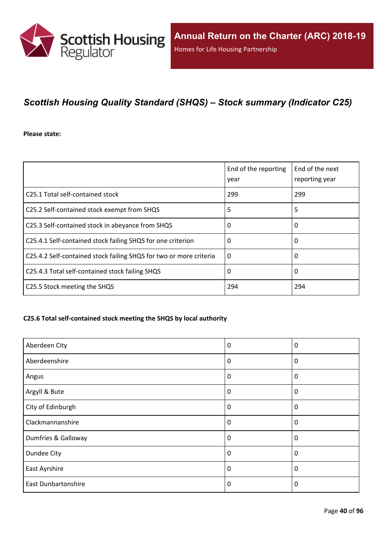

# *Scottish Housing Quality Standard (SHQS) – Stock summary (Indicator C25)*

#### **Please state:**

|                                                                    | End of the reporting<br>year | End of the next<br>reporting year |
|--------------------------------------------------------------------|------------------------------|-----------------------------------|
| C25.1 Total self-contained stock                                   | 299                          | 299                               |
| C25.2 Self-contained stock exempt from SHQS                        | 5                            | 5                                 |
| C25.3 Self-contained stock in abeyance from SHQS                   | 0                            | 0                                 |
| C25.4.1 Self-contained stock failing SHQS for one criterion        | 0                            | 0                                 |
| C25.4.2 Self-contained stock failing SHQS for two or more criteria | $\Omega$                     | 0                                 |
| C25.4.3 Total self-contained stock failing SHQS                    | 0                            | 0                                 |
| C25.5 Stock meeting the SHQS                                       | 294                          | 294                               |

#### **C25.6 Total self-contained stock meeting the SHQS by local authority**

| Aberdeen City              | 0        | 0           |
|----------------------------|----------|-------------|
| Aberdeenshire              | 0        | $\mathbf 0$ |
| Angus                      | 0        | $\mathbf 0$ |
| Argyll & Bute              | 0        | 0           |
| City of Edinburgh          | 0        | $\mathbf 0$ |
| Clackmannanshire           | 0        | 0           |
| Dumfries & Galloway        | $\Omega$ | $\Omega$    |
| Dundee City                | $\Omega$ | 0           |
| East Ayrshire              | 0        | 0           |
| <b>East Dunbartonshire</b> | $\Omega$ | 0           |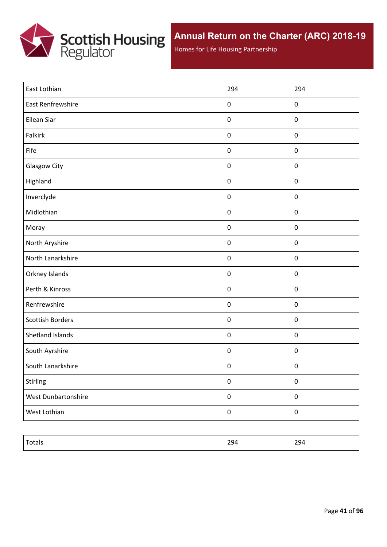

Homes for Life Housing Partnership

| East Lothian            | 294              | 294              |
|-------------------------|------------------|------------------|
| East Renfrewshire       | $\pmb{0}$        | $\pmb{0}$        |
| Eilean Siar             | $\pmb{0}$        | $\pmb{0}$        |
| Falkirk                 | $\pmb{0}$        | $\pmb{0}$        |
| Fife                    | $\pmb{0}$        | $\pmb{0}$        |
| Glasgow City            | $\pmb{0}$        | $\pmb{0}$        |
| Highland                | $\boldsymbol{0}$ | $\pmb{0}$        |
| Inverclyde              | $\pmb{0}$        | $\mathbf 0$      |
| Midlothian              | $\pmb{0}$        | $\pmb{0}$        |
| Moray                   | $\pmb{0}$        | $\pmb{0}$        |
| North Aryshire          | $\pmb{0}$        | $\mathbf 0$      |
| North Lanarkshire       | $\pmb{0}$        | $\mathbf 0$      |
| Orkney Islands          | $\pmb{0}$        | $\mathbf 0$      |
| Perth & Kinross         | $\pmb{0}$        | $\mathbf 0$      |
| Renfrewshire            | $\pmb{0}$        | $\mathbf 0$      |
| <b>Scottish Borders</b> | $\pmb{0}$        | $\mathbf 0$      |
| Shetland Islands        | $\pmb{0}$        | $\mathbf 0$      |
| South Ayrshire          | $\pmb{0}$        | $\mathbf 0$      |
| South Lanarkshire       | $\pmb{0}$        | $\boldsymbol{0}$ |
| Stirling                | $\pmb{0}$        | $\pmb{0}$        |
| West Dunbartonshire     | $\boldsymbol{0}$ | $\pmb{0}$        |
| West Lothian            | $\boldsymbol{0}$ | $\pmb{0}$        |

| ιυιαιν | 20 <sub>h</sub><br>⊸<br>$- - -$ | $\sim$<br>ᅩᄀ |
|--------|---------------------------------|--------------|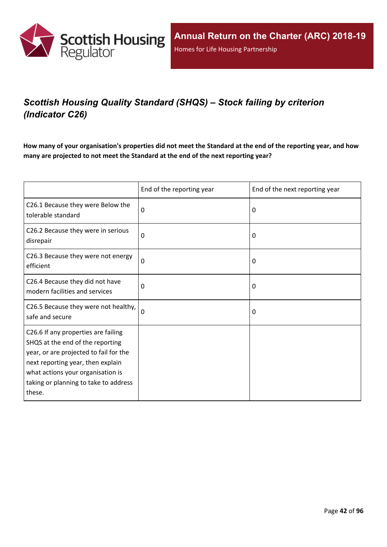

# *Scottish Housing Quality Standard (SHQS) – Stock failing by criterion (Indicator C26)*

How many of your organisation's properties did not meet the Standard at the end of the reporting year, and how **many are projected to not meet the Standard at the end of the next reporting year?**

|                                                                                                                                                                                                                                                | End of the reporting year | End of the next reporting year |
|------------------------------------------------------------------------------------------------------------------------------------------------------------------------------------------------------------------------------------------------|---------------------------|--------------------------------|
| C26.1 Because they were Below the<br>tolerable standard                                                                                                                                                                                        | 0                         | $\Omega$                       |
| C26.2 Because they were in serious<br>disrepair                                                                                                                                                                                                | 0                         | 0                              |
| C26.3 Because they were not energy<br>efficient                                                                                                                                                                                                | $\mathbf 0$               | 0                              |
| C26.4 Because they did not have<br>modern facilities and services                                                                                                                                                                              | 0                         | 0                              |
| C26.5 Because they were not healthy,<br>safe and secure                                                                                                                                                                                        | 0                         | 0                              |
| C26.6 If any properties are failing<br>SHQS at the end of the reporting<br>year, or are projected to fail for the<br>next reporting year, then explain<br>what actions your organisation is<br>taking or planning to take to address<br>these. |                           |                                |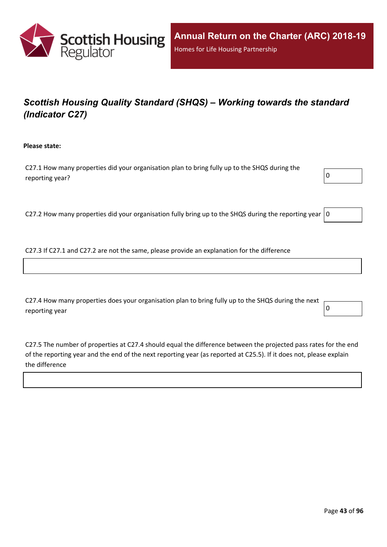

# *Scottish Housing Quality Standard (SHQS) – Working towards the standard (Indicator C27)*

**Please state:**

C27.1 How many properties did your organisation plan to bring fully up to the SHQS during the reporting year?  $\boxed{0}$ 



C27.2 How many properties did your organisation fully bring up to the SHQS during the reporting year  $|0$ 

C27.3 If C27.1 and C27.2 are not the same, please provide an explanation for the difference

C27.4 How many properties does your organisation plan to bring fully up to the SHQS during the next reporting year  $\begin{bmatrix} 0 \end{bmatrix}$ 

C27.5 The number of properties at C27.4 should equal the difference between the projected pass rates for the end of the reporting year and the end of the next reporting year (as reported at C25.5). If it does not, please explain the difference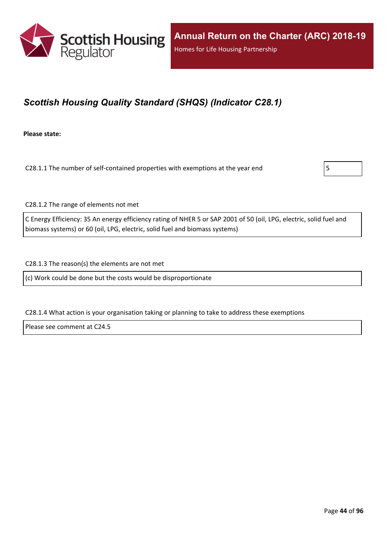

## *Scottish Housing Quality Standard (SHQS) (Indicator C28.1)*

**Please state:**

C28.1.1 The number of self-contained properties with exemptions at the year end  $\vert$  5



C28.1.2 The range of elements not met

C Energy Efficiency: 35 An energy efficiency rating of NHER 5 or SAP 2001 of 50 (oil, LPG, electric, solid fuel and biomass systems) or 60 (oil, LPG, electric, solid fuel and biomass systems)

C28.1.3 The reason(s) the elements are not met

(c) Work could be done but the costs would be disproportionate

C28.1.4 What action is your organisation taking or planning to take to address these exemptions

Please see comment at C24.5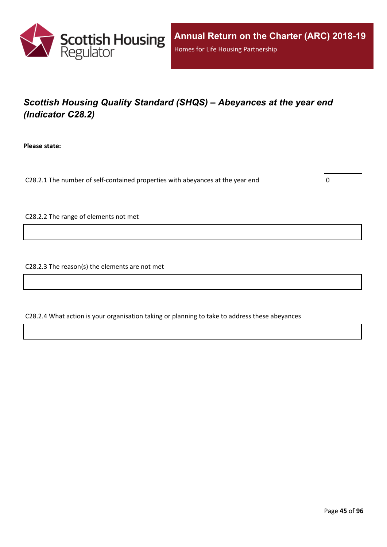

# *Scottish Housing Quality Standard (SHQS) – Abeyances at the year end (Indicator C28.2)*

**Please state:**

C28.2.1 The number of self-contained properties with abeyances at the year end  $\vert$  0

C28.2.2 The range of elements not met

C28.2.3 The reason(s) the elements are not met

C28.2.4 What action is your organisation taking or planning to take to address these abeyances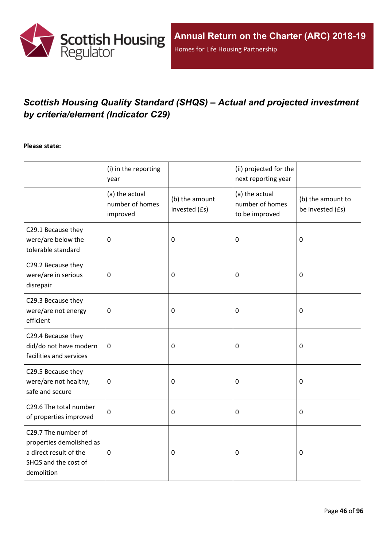

# *Scottish Housing Quality Standard (SHQS) – Actual and projected investment by criteria/element (Indicator C29)*

#### **Please state:**

|                                                                                                                 | (i) in the reporting<br>year                  |                                 | (ii) projected for the<br>next reporting year       |                                       |
|-----------------------------------------------------------------------------------------------------------------|-----------------------------------------------|---------------------------------|-----------------------------------------------------|---------------------------------------|
|                                                                                                                 | (a) the actual<br>number of homes<br>improved | (b) the amount<br>invested (£s) | (a) the actual<br>number of homes<br>to be improved | (b) the amount to<br>be invested (£s) |
| C29.1 Because they<br>were/are below the<br>tolerable standard                                                  | $\mathbf 0$                                   | 0                               | 0                                                   | $\boldsymbol{0}$                      |
| C29.2 Because they<br>were/are in serious<br>disrepair                                                          | $\mathbf 0$                                   | $\boldsymbol{0}$                | 0                                                   | $\mathbf 0$                           |
| C29.3 Because they<br>were/are not energy<br>efficient                                                          | $\pmb{0}$                                     | $\pmb{0}$                       | 0                                                   | $\boldsymbol{0}$                      |
| C29.4 Because they<br>did/do not have modern<br>facilities and services                                         | $\mathbf 0$                                   | $\mathbf 0$                     | 0                                                   | $\mathbf 0$                           |
| C29.5 Because they<br>were/are not healthy,<br>safe and secure                                                  | $\mathbf 0$                                   | 0                               | $\mathbf 0$                                         | $\mathbf 0$                           |
| C29.6 The total number<br>of properties improved                                                                | $\mathbf 0$                                   | $\mathbf 0$                     | $\mathbf 0$                                         | $\mathbf 0$                           |
| C29.7 The number of<br>properties demolished as<br>a direct result of the<br>SHQS and the cost of<br>demolition | $\mathbf 0$                                   | $\mathbf 0$                     | 0                                                   | $\mathbf 0$                           |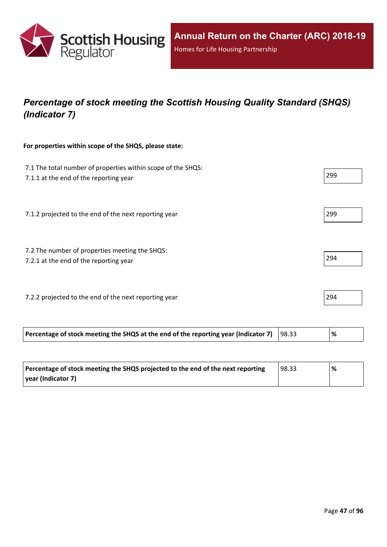

# *Percentage of stock meeting the Scottish Housing Quality Standard (SHQS) (Indicator 7)*

#### **For properties within scope of the SHQS, please state:**

| Percentage of stock meeting the SHQS at the end of the reporting year (Indicator 7)                    | 98.33 | %   |
|--------------------------------------------------------------------------------------------------------|-------|-----|
| 7.2.2 projected to the end of the next reporting year                                                  |       | 294 |
| 7.2 The number of properties meeting the SHQS:<br>7.2.1 at the end of the reporting year               |       | 294 |
| 7.1.2 projected to the end of the next reporting year                                                  |       | 299 |
| 7.1 The total number of properties within scope of the SHQS:<br>7.1.1 at the end of the reporting year |       | 299 |

| Percentage of stock meeting the SHQS projected to the end of the next reporting | 98.33 | % |
|---------------------------------------------------------------------------------|-------|---|
| vear (Indicator 7)                                                              |       |   |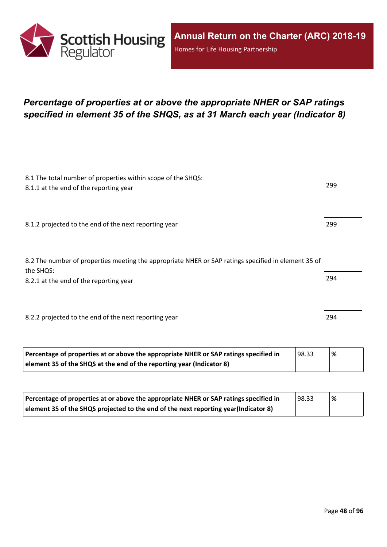

## *Percentage of properties at or above the appropriate NHER or SAP ratings specified in element 35 of the SHQS, as at 31 March each year (Indicator 8)*

| 8.1 The total number of properties within scope of the SHQS:<br>8.1.1 at the end of the reporting year           | 299 |
|------------------------------------------------------------------------------------------------------------------|-----|
|                                                                                                                  |     |
| 8.1.2 projected to the end of the next reporting year                                                            | 299 |
| 8.2 The number of properties meeting the appropriate NHER or SAP ratings specified in element 35 of<br>the SHQS: |     |
| 8.2.1 at the end of the reporting year                                                                           | 294 |
| 8.2.2 projected to the end of the next reporting year                                                            | 294 |
|                                                                                                                  |     |

| Percentage of properties at or above the appropriate NHER or SAP ratings specified in | 198.33 | % |
|---------------------------------------------------------------------------------------|--------|---|
| element 35 of the SHQS at the end of the reporting year (Indicator 8)                 |        |   |

| Percentage of properties at or above the appropriate NHER or SAP ratings specified in | 98.33 | % |
|---------------------------------------------------------------------------------------|-------|---|
| element 35 of the SHQS projected to the end of the next reporting year(Indicator 8)   |       |   |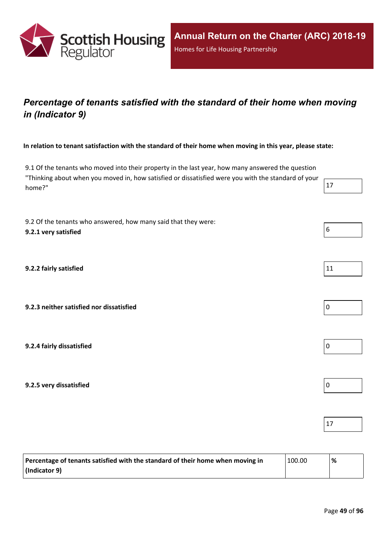

## *Percentage of tenants satisfied with the standard of their home when moving in (Indicator 9)*

In relation to tenant satisfaction with the standard of their home when moving in this year, please state:

9.1 Of the tenants who moved into their property in the last year, how many answered the question "Thinking about when you moved in, how satisfied or dissatisfied were you with the standard of your home?"  $17$ 

9.2 Of the tenants who answered, how many said that they were: **9.2.1 very satisfied** 6

**9.2.2 fairly satisfied** 11

**9.2.3 neither satisfied nor dissatisfied** 0

**9.2.4 fairly dissatisfied** 0

**9.2.5 very dissatisfied** 0

| Percentage of tenants satisfied with the standard of their home when moving in | 100.00 | $\%$ |
|--------------------------------------------------------------------------------|--------|------|
| $ $ (Indicator 9)                                                              |        |      |





17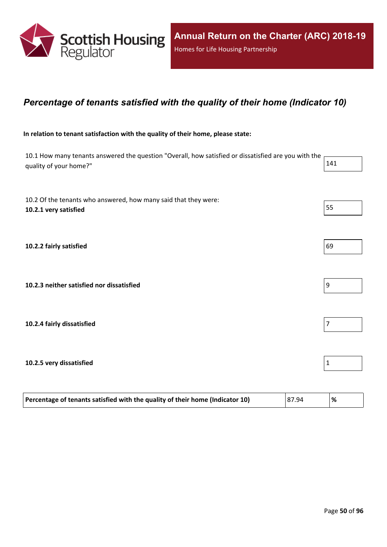

### *Percentage of tenants satisfied with the quality of their home (Indicator 10)*

#### **In relation to tenant satisfaction with the quality of their home, please state:**

10.1 How many tenants answered the question "Overall, how satisfied or dissatisfied are you with the quality of your home?" 141

10.2 Of the tenants who answered, how many said that they were: **10.2.1 very satisfied** 55

**10.2.2 fairly satisfied** 69

**10.2.3 neither satisfied nor dissatisfied** 9

**10.2.4 fairly dissatisfied** 7

**10.2.5 very dissatisfied** 1

| Percentage of tenants satisfied with the quality of their home (Indicator 10) | 87.94 | % |  |
|-------------------------------------------------------------------------------|-------|---|--|
|-------------------------------------------------------------------------------|-------|---|--|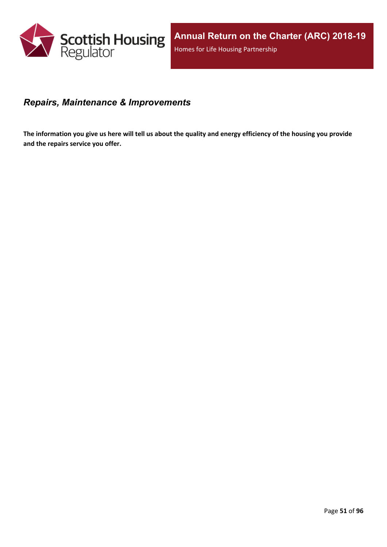

### *Repairs, Maintenance & Improvements*

The information you give us here will tell us about the quality and energy efficiency of the housing you provide **and the repairs service you offer.**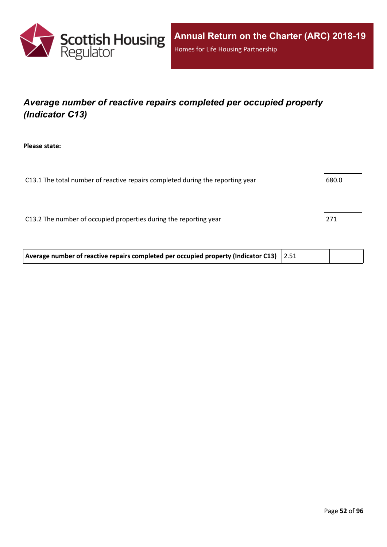

# *Average number of reactive repairs completed per occupied property (Indicator C13)*

**Please state:**

| C13.1 The total number of reactive repairs completed during the reporting year |     |
|--------------------------------------------------------------------------------|-----|
|                                                                                |     |
| C13.2 The number of occupied properties during the reporting year              | 271 |
|                                                                                |     |
|                                                                                |     |

**Average number of reactive repairs completed per occupied property (Indicator C13)** 2.51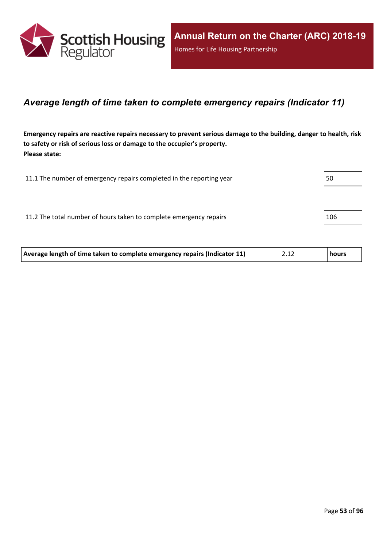

### *Average length of time taken to complete emergency repairs (Indicator 11)*

Emergency repairs are reactive repairs necessary to prevent serious damage to the building, danger to health, risk **to safety or risk of serious loss or damage to the occupier's property. Please state:**

| 11.1 The number of emergency repairs completed in the reporting year |     |
|----------------------------------------------------------------------|-----|
|                                                                      |     |
| 11.2 The total number of hours taken to complete emergency repairs   | 106 |
|                                                                      |     |

| Average length of time taken to complete emergency repairs (Indicator 11)<br> 2.12<br>hours |  |
|---------------------------------------------------------------------------------------------|--|
|---------------------------------------------------------------------------------------------|--|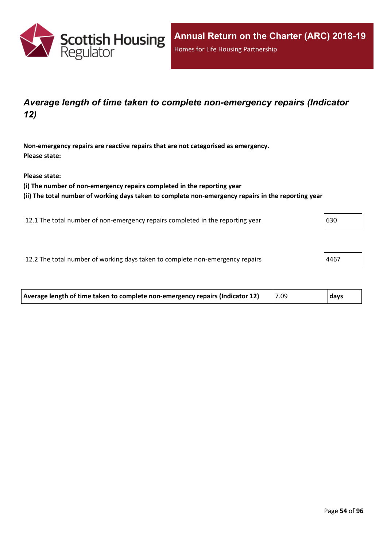

### *Average length of time taken to complete non-emergency repairs (Indicator 12)*

**Non-emergency repairs are reactive repairs that are not categorised as emergency. Please state:**

**Please state:**

**(i) The number of non-emergency repairs completed in the reporting year**

**(ii) The total number of working days taken to complete non-emergency repairs in the reporting year**

12.1 The total number of non-emergency repairs completed in the reporting year 630

12.2 The total number of working days taken to complete non-emergency repairs  $|4467\rangle$ 

| Average length of time taken to complete non-emergency repairs (Indicator 12) | 7.09 | days |
|-------------------------------------------------------------------------------|------|------|
|                                                                               |      |      |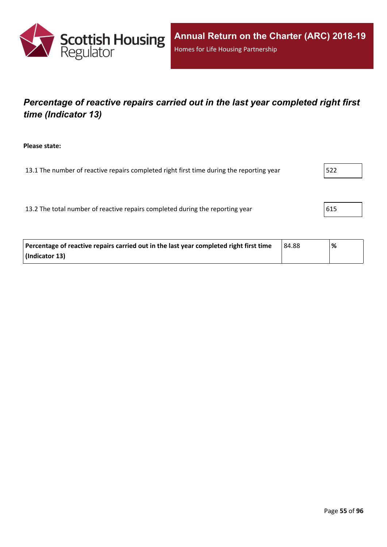

## *Percentage of reactive repairs carried out in the last year completed right first time (Indicator 13)*

**Please state:**

13.1 The number of reactive repairs completed right first time during the reporting year  $\vert$  522

13.2 The total number of reactive repairs completed during the reporting year  $\vert$  615

| Percentage of reactive repairs carried out in the last year completed right first time | 84.88 | % |
|----------------------------------------------------------------------------------------|-------|---|
| (Indicator 13)                                                                         |       |   |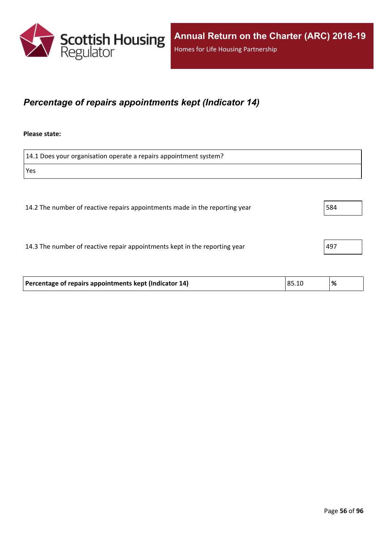

### *Percentage of repairs appointments kept (Indicator 14)*

#### **Please state:**

14.1 Does your organisation operate a repairs appointment system? Yes 14.2 The number of reactive repairs appointments made in the reporting year 584

14.3 The number of reactive repair appointments kept in the reporting year  $|497|$ 

| Percentage of repairs appointments kept (Indicator 14) | 85.10 | % |
|--------------------------------------------------------|-------|---|
|                                                        |       |   |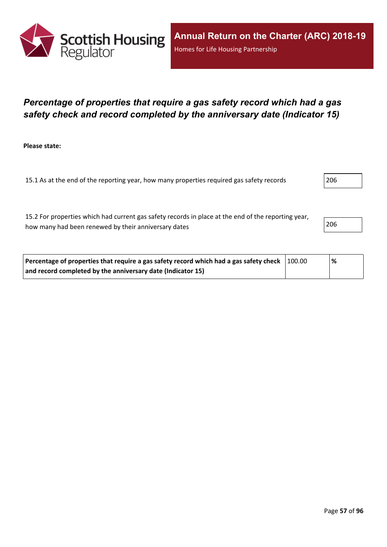

### *Percentage of properties that require a gas safety record which had a gas safety check and record completed by the anniversary date (Indicator 15)*

**Please state:**

15.1 As at the end of the reporting year, how many properties required gas safety records 206

15.2 For properties which had current gas safety records in place at the end of the reporting year, how many had been renewed by their anniversary dates 206

| Percentage of properties that require a gas safety record which had a gas safety check $\vert$ 100.00 | % |
|-------------------------------------------------------------------------------------------------------|---|
| and record completed by the anniversary date (Indicator 15)                                           |   |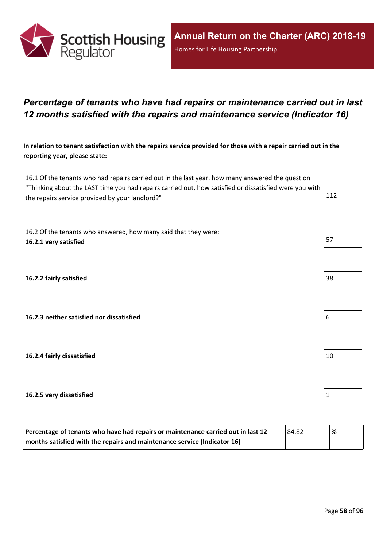

### *Percentage of tenants who have had repairs or maintenance carried out in last 12 months satisfied with the repairs and maintenance service (Indicator 16)*

In relation to tenant satisfaction with the repairs service provided for those with a repair carried out in the **reporting year, please state:**

16.1 Of the tenants who had repairs carried out in the last year, how many answered the question "Thinking about the LAST time you had repairs carried out, how satisfied or dissatisfied were you with r the repairs service provided by your landlord?"

16.2 Of the tenants who answered, how many said that they were: **16.2.1 very satisfied** 57

**16.2.2 fairly satisfied** 38

**16.2.3 neither satisfied nor dissatisfied** 6

**16.2.4 fairly dissatisfied** 10

#### **16.2.5 very dissatisfied** 1

| Percentage of tenants who have had repairs or maintenance carried out in last 12<br>84.82 |  | % |
|-------------------------------------------------------------------------------------------|--|---|
| months satisfied with the repairs and maintenance service (Indicator 16)                  |  |   |

| the contract of the contract of the contract of the contract of the contract of the contract of the contract of |  |  |
|-----------------------------------------------------------------------------------------------------------------|--|--|
|                                                                                                                 |  |  |
|                                                                                                                 |  |  |
|                                                                                                                 |  |  |
|                                                                                                                 |  |  |
|                                                                                                                 |  |  |
|                                                                                                                 |  |  |
|                                                                                                                 |  |  |
|                                                                                                                 |  |  |

| ۰.<br>× |  |  |
|---------|--|--|
|         |  |  |

| 6 |  |
|---|--|
|   |  |



| н<br>٠ |  |
|--------|--|
|        |  |
|        |  |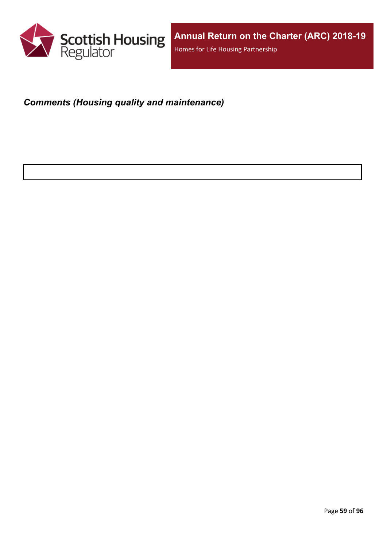

# *Comments (Housing quality and maintenance)*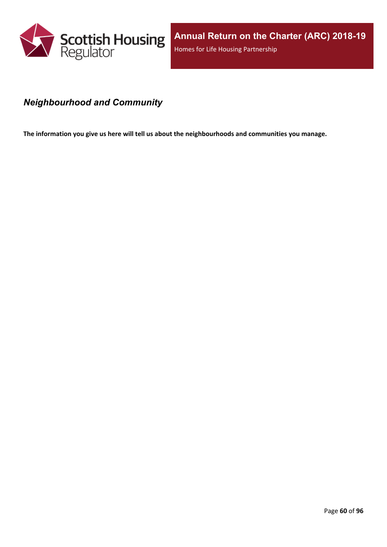

### *Neighbourhood and Community*

**The information you give us here will tell us about the neighbourhoods and communities you manage.**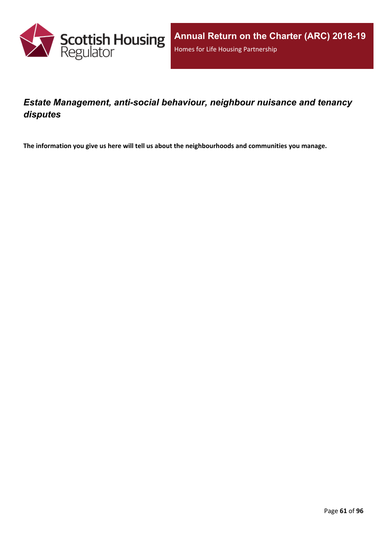

## *Estate Management, anti-social behaviour, neighbour nuisance and tenancy disputes*

**The information you give us here will tell us about the neighbourhoods and communities you manage.**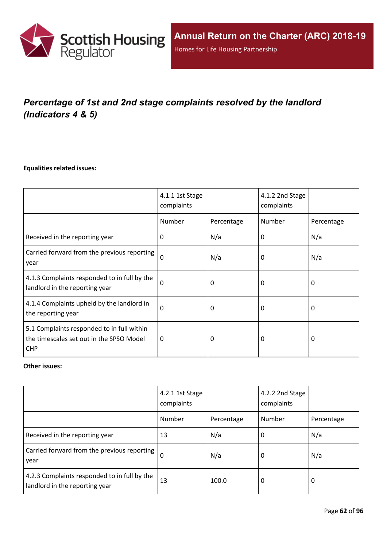

# *Percentage of 1st and 2nd stage complaints resolved by the landlord (Indicators 4 & 5)*

#### **Equalities related issues:**

|                                                                                                      | 4.1.1 1st Stage<br>complaints |            | 4.1.2 2nd Stage<br>complaints |            |
|------------------------------------------------------------------------------------------------------|-------------------------------|------------|-------------------------------|------------|
|                                                                                                      | Number                        | Percentage | Number                        | Percentage |
| Received in the reporting year                                                                       | $\Omega$                      | N/a        | 0                             | N/a        |
| Carried forward from the previous reporting<br>year                                                  | $\Omega$                      | N/a        | 0                             | N/a        |
| 4.1.3 Complaints responded to in full by the<br>landlord in the reporting year                       | $\Omega$                      | 0          | 0                             | 0          |
| 4.1.4 Complaints upheld by the landlord in<br>the reporting year                                     | 0                             | 0          | 0                             | 0          |
| 5.1 Complaints responded to in full within<br>the timescales set out in the SPSO Model<br><b>CHP</b> | 0                             | 0          | 0                             | $\Omega$   |

#### **Other issues:**

|                                                                                | 4.2.1 1st Stage<br>complaints |            | 4.2.2 2nd Stage<br>complaints |            |
|--------------------------------------------------------------------------------|-------------------------------|------------|-------------------------------|------------|
|                                                                                | Number                        | Percentage | Number                        | Percentage |
| Received in the reporting year                                                 | 13                            | N/a        | O                             | N/a        |
| Carried forward from the previous reporting  <br>year                          | $\Omega$                      | N/a        | 0                             | N/a        |
| 4.2.3 Complaints responded to in full by the<br>landlord in the reporting year | 13                            | 100.0      | 0                             | 0          |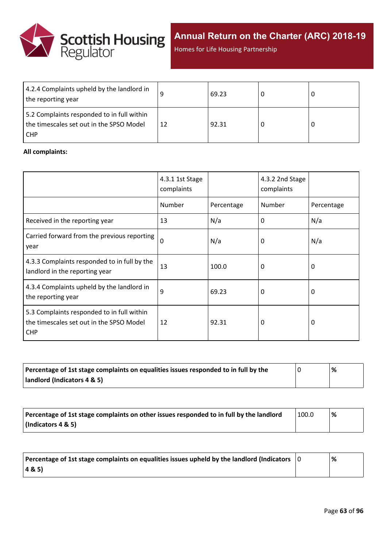

**Annual Return on the Charter (ARC) 2018-19**

Homes for Life Housing Partnership

| 4.2.4 Complaints upheld by the landlord in<br>the reporting year                                |    | 69.23 |  |
|-------------------------------------------------------------------------------------------------|----|-------|--|
| 5.2 Complaints responded to in full within<br>the timescales set out in the SPSO Model<br>I CHP | 12 | 92.31 |  |

#### **All complaints:**

|                                                                                                      | 4.3.1 1st Stage<br>complaints |            | 4.3.2 2nd Stage<br>complaints |            |
|------------------------------------------------------------------------------------------------------|-------------------------------|------------|-------------------------------|------------|
|                                                                                                      | Number                        | Percentage | Number                        | Percentage |
| Received in the reporting year                                                                       | 13                            | N/a        | 0                             | N/a        |
| Carried forward from the previous reporting<br>year                                                  | $\mathbf 0$                   | N/a        | 0                             | N/a        |
| 4.3.3 Complaints responded to in full by the<br>landlord in the reporting year                       | 13                            | 100.0      | 0                             | 0          |
| 4.3.4 Complaints upheld by the landlord in<br>the reporting year                                     | 9                             | 69.23      | 0                             | 0          |
| 5.3 Complaints responded to in full within<br>the timescales set out in the SPSO Model<br><b>CHP</b> | 12                            | 92.31      | 0                             | 0          |

| Percentage of 1st stage complaints on equalities issues responded to in full by the | % |
|-------------------------------------------------------------------------------------|---|
| landlord (Indicators 4 & 5)                                                         |   |

| Percentage of 1st stage complaints on other issues responded to in full by the landlord | 100.0 | % |
|-----------------------------------------------------------------------------------------|-------|---|
| (Indicators 4 & 5)                                                                      |       |   |

| Percentage of 1st stage complaints on equalities issues upheld by the landlord (Indicators $\vert$ 0 | % |
|------------------------------------------------------------------------------------------------------|---|
| (48.5)                                                                                               |   |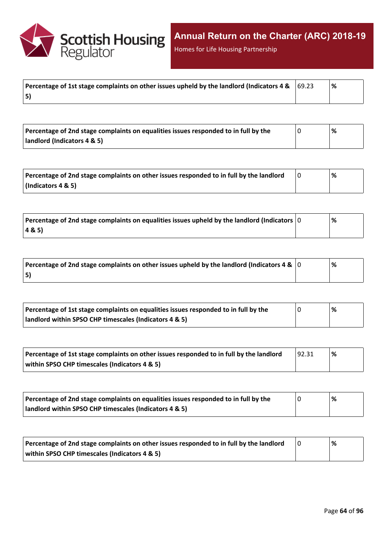

Homes for Life Housing Partnership

| Percentage of 1st stage complaints on other issues upheld by the landlord (Indicators 4 & $\,$ $\,$ 69.23 | '% |
|-----------------------------------------------------------------------------------------------------------|----|
| 5)                                                                                                        |    |

| Percentage of 2nd stage complaints on equalities issues responded to in full by the | '% |  |
|-------------------------------------------------------------------------------------|----|--|
| landlord (Indicators 4 & 5)                                                         |    |  |

| Percentage of 2nd stage complaints on other issues responded to in full by the landlord | % |
|-----------------------------------------------------------------------------------------|---|
| $\vert$ (Indicators 4 & 5)                                                              |   |

| Percentage of 2nd stage complaints on equalities issues upheld by the landlord (Indicators $ 0 $ | % |
|--------------------------------------------------------------------------------------------------|---|
| 48.5                                                                                             |   |

| Percentage of 2nd stage complaints on other issues upheld by the landlord (Indicators 4 & $\vert$ 0 | % |  |
|-----------------------------------------------------------------------------------------------------|---|--|
| 5)                                                                                                  |   |  |

| Percentage of 1st stage complaints on equalities issues responded to in full by the | % |
|-------------------------------------------------------------------------------------|---|
| landlord within SPSO CHP timescales (Indicators 4 & 5)                              |   |

| Percentage of 1st stage complaints on other issues responded to in full by the landlord | <u>92.31</u> | '% |
|-----------------------------------------------------------------------------------------|--------------|----|
| within SPSO CHP timescales (Indicators 4 & 5)                                           |              |    |

| Percentage of 2nd stage complaints on equalities issues responded to in full by the | % |
|-------------------------------------------------------------------------------------|---|
| landlord within SPSO CHP timescales (Indicators 4 & 5)                              |   |

| Percentage of 2nd stage complaints on other issues responded to in full by the landlord | % |
|-----------------------------------------------------------------------------------------|---|
| within SPSO CHP timescales (Indicators 4 & 5)                                           |   |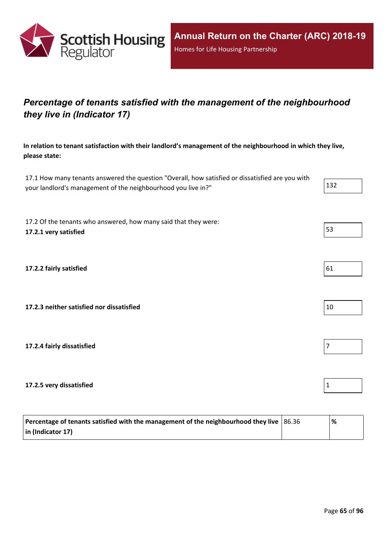

## *Percentage of tenants satisfied with the management of the neighbourhood they live in (Indicator 17)*

**In relation to tenant satisfaction with their landlord's management of the neighbourhood in which they live, please state:**

17.1 How many tenants answered the question "Overall, how satisfied or dissatisfied are you with your landlord's management of the neighbourhood you live in?" 132

17.2 Of the tenants who answered, how many said that they were: **17.2.1 very satisfied** 53

**17.2.2 fairly satisfied** 61

**17.2.3 neither satisfied nor dissatisfied** 10

**17.2.4 fairly dissatisfied** 7

**17.2.5 very dissatisfied** 1

| Percentage of tenants satisfied with the management of the neighbourhood they live $ 86.36 $ | '% |
|----------------------------------------------------------------------------------------------|----|
| $\vert$ in (Indicator 17)                                                                    |    |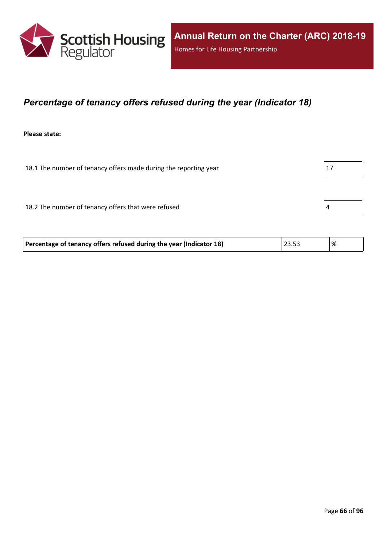

### *Percentage of tenancy offers refused during the year (Indicator 18)*

**Please state:**

18.1 The number of tenancy offers made during the reporting year  $|17|$ 

18.2 The number of tenancy offers that were refused  $\vert 4 \vert$ 

| Percentage of tenancy offers refused during the year (Indicator 18) | 23.53 | <u>%</u> |
|---------------------------------------------------------------------|-------|----------|
|                                                                     |       |          |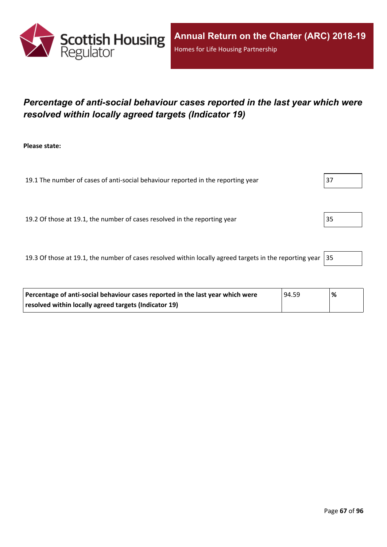

## *Percentage of anti-social behaviour cases reported in the last year which were resolved within locally agreed targets (Indicator 19)*

**Please state:**

19.1 The number of cases of anti-social behaviour reported in the reporting year  $\vert$  37

19.2 Of those at 19.1, the number of cases resolved in the reporting year 35

19.3 Of those at 19.1, the number of cases resolved within locally agreed targets in the reporting year  $|35|$ 

| Percentage of anti-social behaviour cases reported in the last year which were | 94.59 | '% |
|--------------------------------------------------------------------------------|-------|----|
| resolved within locally agreed targets (Indicator 19)                          |       |    |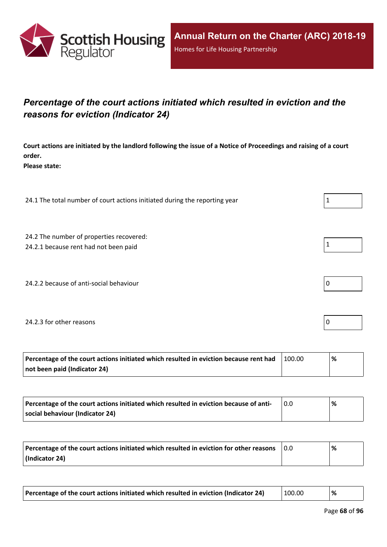

## *Percentage of the court actions initiated which resulted in eviction and the reasons for eviction (Indicator 24)*

Court actions are initiated by the landlord following the issue of a Notice of Proceedings and raising of a court **order.**

**Please state:**

24.1 The total number of court actions initiated during the reporting year  $1 \tbinom{1}{1}$ 

24.2 The number of properties recovered:

24.2.1 because rent had not been paid  $\vert 1 \vert$ 

24.2.2 because of anti-social behaviour  $\vert 0 \rangle$ 

#### 24.2.3 for other reasons  $\vert$  0

| Percentage of the court actions initiated which resulted in eviction because rent had | 100.00 | ℅ |
|---------------------------------------------------------------------------------------|--------|---|
| not been paid (Indicator 24)                                                          |        |   |

| Percentage of the court actions initiated which resulted in eviction because of anti- | 0.0 | % |
|---------------------------------------------------------------------------------------|-----|---|
| social behaviour (Indicator 24)                                                       |     |   |

| Percentage of the court actions initiated which resulted in eviction for other reasons | 0.0 | % |
|----------------------------------------------------------------------------------------|-----|---|
| (Indicator 24)                                                                         |     |   |

| Percentage of the court actions initiated which resulted in eviction (Indicator 24) | 100.00 | '% |
|-------------------------------------------------------------------------------------|--------|----|
|-------------------------------------------------------------------------------------|--------|----|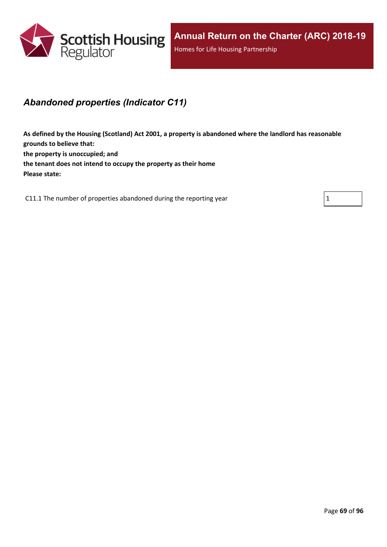

### *Abandoned properties (Indicator C11)*

**As defined by the Housing (Scotland) Act 2001, a property is abandoned where the landlord has reasonable grounds to believe that: the property is unoccupied; and the tenant does not intend to occupy the property as their home Please state:**

C11.1 The number of properties abandoned during the reporting year  $1 \tbinom{1}{1}$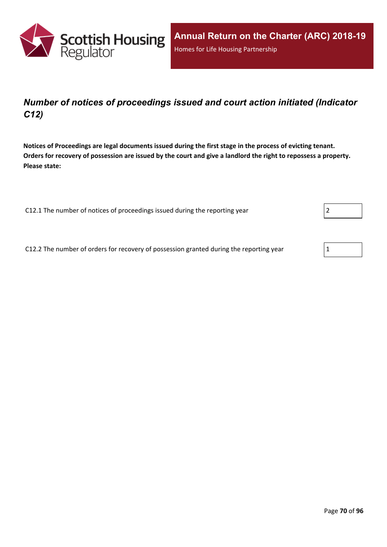

## *Number of notices of proceedings issued and court action initiated (Indicator C12)*

Notices of Proceedings are legal documents issued during the first stage in the process of evicting tenant. Orders for recovery of possession are issued by the court and give a landlord the right to repossess a property. **Please state:**

C12.1 The number of notices of proceedings issued during the reporting year

C12.2 The number of orders for recovery of possession granted during the reporting year 1

| $\overline{\phantom{a}}$ |  |  |
|--------------------------|--|--|
|                          |  |  |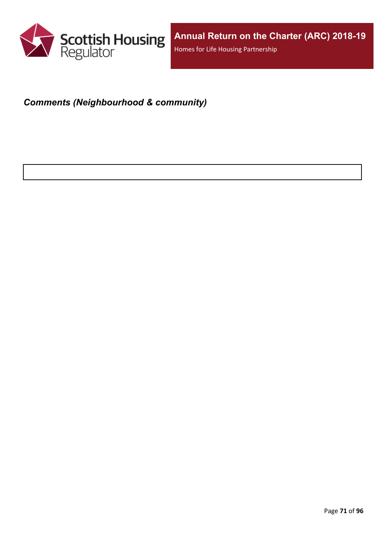

# *Comments (Neighbourhood & community)*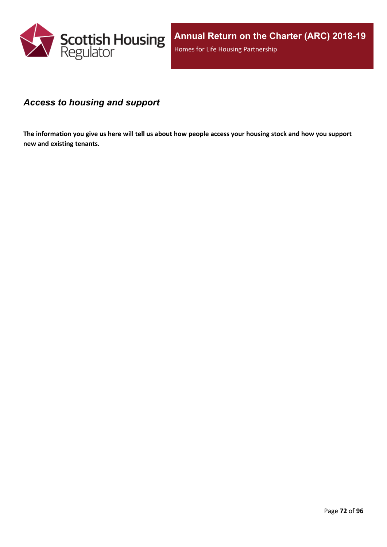

### *Access to housing and support*

The information you give us here will tell us about how people access your housing stock and how you support **new and existing tenants.**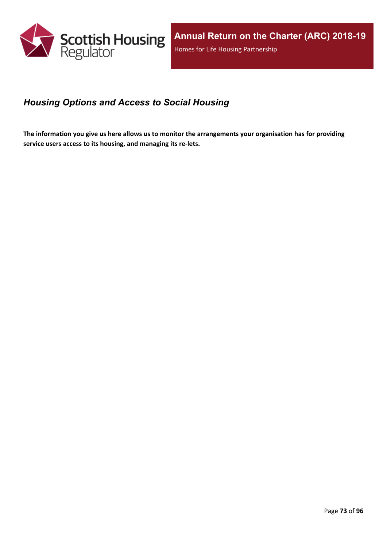

### *Housing Options and Access to Social Housing*

The information you give us here allows us to monitor the arrangements your organisation has for providing **service users access to its housing, and managing its re-lets.**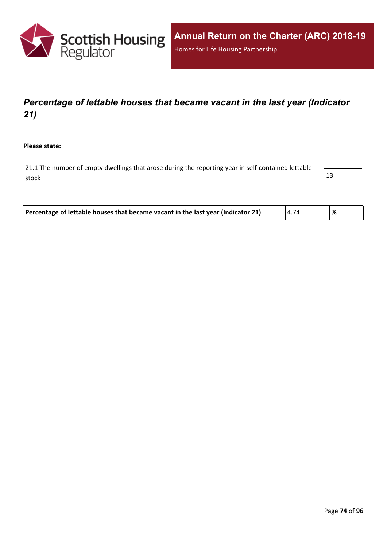

# *Percentage of lettable houses that became vacant in the last year (Indicator 21)*

**Please state:**

21.1 The number of empty dwellings that arose during the reporting year in self-contained lettable stock  $\vert$  13



| Percentage of lettable houses that became vacant in the last year (Indicator 21)<br>4.74 | '% |  |
|------------------------------------------------------------------------------------------|----|--|
|------------------------------------------------------------------------------------------|----|--|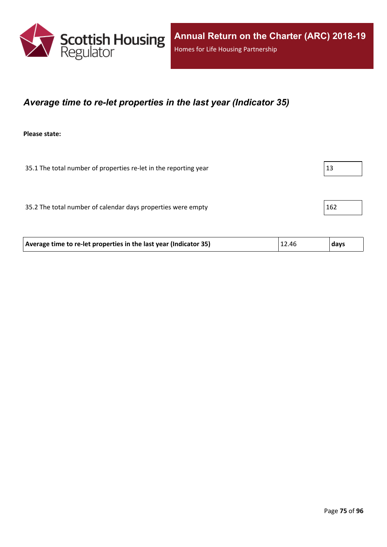

### *Average time to re-let properties in the last year (Indicator 35)*

**Please state:**

35.1 The total number of properties re-let in the reporting year  $|13|$ 

35.2 The total number of calendar days properties were empty  $162$ 

| 12.46<br>Average time to re-let properties in the last year (Indicator 35)<br>  days |
|--------------------------------------------------------------------------------------|
|--------------------------------------------------------------------------------------|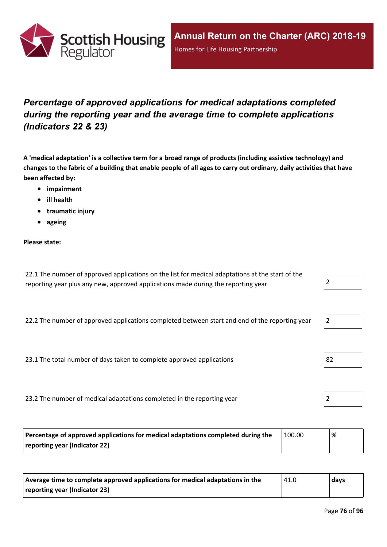

# *Percentage of approved applications for medical adaptations completed during the reporting year and the average time to complete applications (Indicators 22 & 23)*

A 'medical adaptation' is a collective term for a broad range of products (including assistive technology) and changes to the fabric of a building that enable people of all ages to carry out ordinary, daily activities that have **been affected by:**

- **impairment**
- **ill health**
- **traumatic injury**
- **ageing**

### **Please state:**

22.1 The number of approved applications on the list for medical adaptations at the start of the reporting year plus any new, approved applications made during the reporting year  $\vert$  2

22.2 The number of approved applications completed between start and end of the reporting year

23.1 The total number of days taken to complete approved applications  $|82|$ 

23.2 The number of medical adaptations completed in the reporting year 2

| Percentage of approved applications for medical adaptations completed during the | 100.00 | % |
|----------------------------------------------------------------------------------|--------|---|
| reporting year (Indicator 22)                                                    |        |   |

| Average time to complete approved applications for medical adaptations in the | 41.0 | days |
|-------------------------------------------------------------------------------|------|------|
| reporting year (Indicator 23)                                                 |      |      |

|--|



|--|--|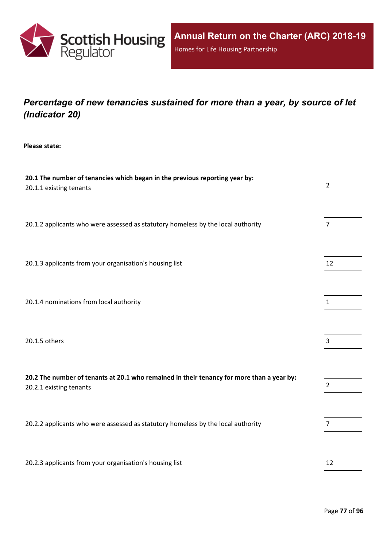

# *Percentage of new tenancies sustained for more than a year, by source of let (Indicator 20)*

**Please state:**

| 20.1 The number of tenancies which began in the previous reporting year by:<br>20.1.1 existing tenants               | $\overline{2}$ |
|----------------------------------------------------------------------------------------------------------------------|----------------|
| 20.1.2 applicants who were assessed as statutory homeless by the local authority                                     | $\overline{7}$ |
| 20.1.3 applicants from your organisation's housing list                                                              | 12             |
| 20.1.4 nominations from local authority                                                                              | $\mathbf{1}$   |
| 20.1.5 others                                                                                                        | $\overline{3}$ |
| 20.2 The number of tenants at 20.1 who remained in their tenancy for more than a year by:<br>20.2.1 existing tenants | $\overline{2}$ |
| 20.2.2 applicants who were assessed as statutory homeless by the local authority                                     | 7              |
| 20.2.3 applicants from your organisation's housing list                                                              | 12             |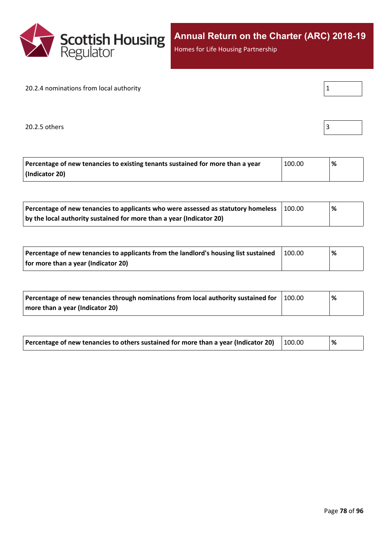

Homes for Life Housing Partnership

#### 20.2.4 nominations from local authority

 $20.2.5$  others  $\begin{bmatrix} \end{bmatrix}$ 

| Percentage of new tenancies to existing tenants sustained for more than a year | 100.00 | % |
|--------------------------------------------------------------------------------|--------|---|
| (Indicator 20)                                                                 |        |   |

| Percentage of new tenancies to applicants who were assessed as statutory homeless | 100.00 | '% |  |
|-----------------------------------------------------------------------------------|--------|----|--|
| by the local authority sustained for more than a year (Indicator 20)              |        |    |  |

| Percentage of new tenancies to applicants from the landlord's housing list sustained | 100.00 | % |  |
|--------------------------------------------------------------------------------------|--------|---|--|
| for more than a year (Indicator 20)                                                  |        |   |  |

| Percentage of new tenancies through nominations from local authority sustained for | 100.00 | % |
|------------------------------------------------------------------------------------|--------|---|
| more than a year (Indicator 20)                                                    |        |   |

| Percentage of new tenancies to others sustained for more than a year (Indicator 20) $\mid$ 100.00 |  |  | % |  |
|---------------------------------------------------------------------------------------------------|--|--|---|--|
|---------------------------------------------------------------------------------------------------|--|--|---|--|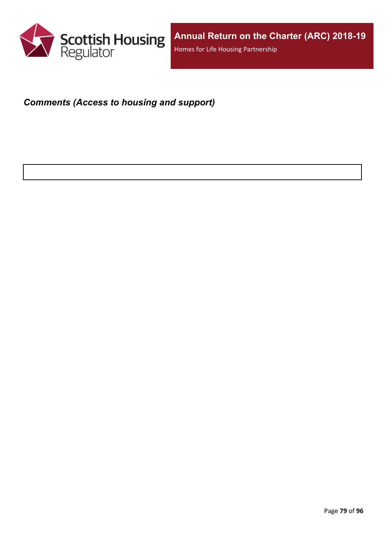

### *Comments (Access to housing and support)*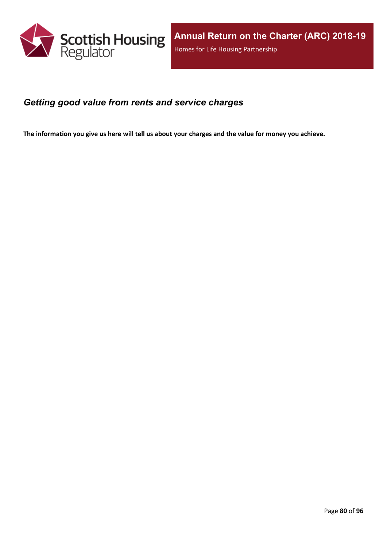

### *Getting good value from rents and service charges*

The information you give us here will tell us about your charges and the value for money you achieve.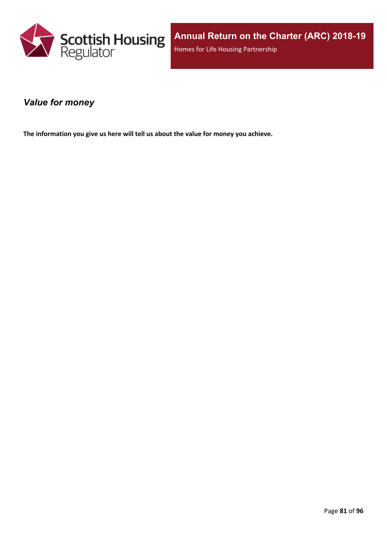

### *Value for money*

**The information you give us here will tell us about the value for money you achieve.**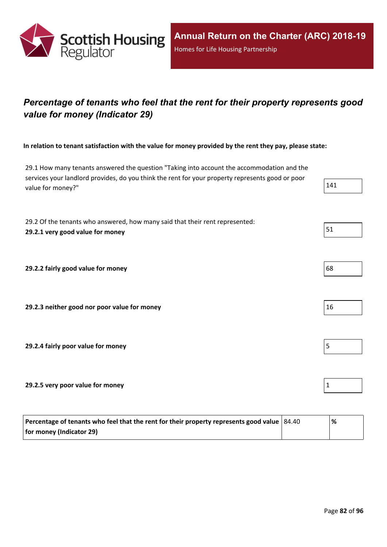

# *Percentage of tenants who feel that the rent for their property represents good value for money (Indicator 29)*

In relation to tenant satisfaction with the value for money provided by the rent they pay, please state:

29.1 How many tenants answered the question "Taking into account the accommodation and the services your landlord provides, do you think the rent for your property represents good or poor value for money?" 141

29.2 Of the tenants who answered, how many said that their rent represented: **29.2.1 very good value for money** 51

**29.2.2 fairly good value for money** 68

**29.2.3 neither good nor poor value for money** 16

**29.2.4 fairly poor value for money** 5

**29.2.5 very poor value for money** 1

| Percentage of tenants who feel that the rent for their property represents good value   84.40 | '% |
|-----------------------------------------------------------------------------------------------|----|
| for money (Indicator 29)                                                                      |    |

- 
- 
- 
-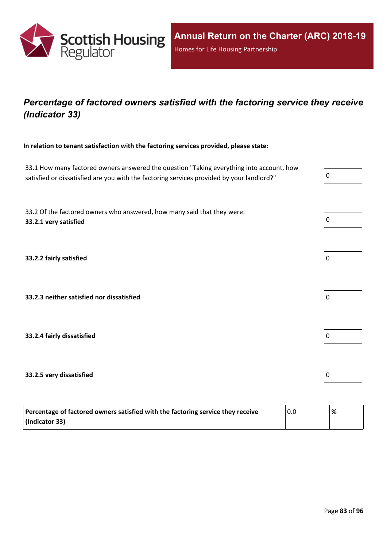

# *Percentage of factored owners satisfied with the factoring service they receive (Indicator 33)*

**In relation to tenant satisfaction with the factoring services provided, please state:**

33.1 How many factored owners answered the question "Taking everything into account, how satisfied or dissatisfied are you with the factoring services provided by your landlord?"

33.2 Of the factored owners who answered, how many said that they were: **33.2.1 very satisfied** 0

**33.2.2 fairly satisfied** 0

**33.2.3 neither satisfied nor dissatisfied** 0

**33.2.4 fairly dissatisfied** 0

### **33.2.5 very dissatisfied** 0

| Percentage of factored owners satisfied with the factoring service they receive | 0.0 | '% |
|---------------------------------------------------------------------------------|-----|----|
| (Indicator 33)                                                                  |     |    |

| L |  |  |  |
|---|--|--|--|
|   |  |  |  |



| 0 |  |  |  |
|---|--|--|--|
|   |  |  |  |



| 0 |  |  |  |
|---|--|--|--|
|   |  |  |  |

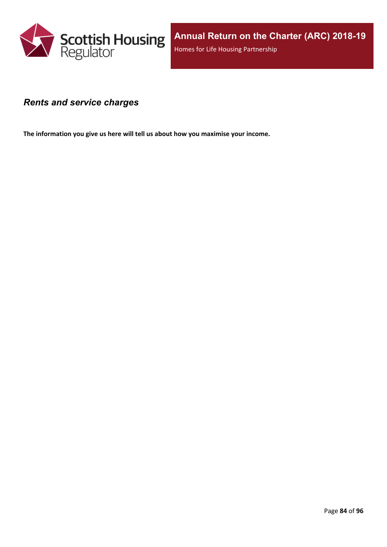

### *Rents and service charges*

**The information you give us here will tell us about how you maximise your income.**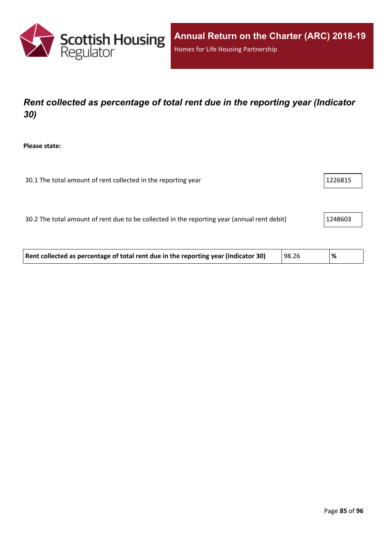

# *Rent collected as percentage of total rent due in the reporting year (Indicator 30)*

**Please state:**

| 30.1 The total amount of rent collected in the reporting year | 1226815 |
|---------------------------------------------------------------|---------|
|---------------------------------------------------------------|---------|

30.2 The total amount of rent due to be collected in the reporting year (annual rent debit) 1248603

| Rent collected as percentage of total rent due in the reporting year (Indicator 30) | 98.26 | '% |  |
|-------------------------------------------------------------------------------------|-------|----|--|
|-------------------------------------------------------------------------------------|-------|----|--|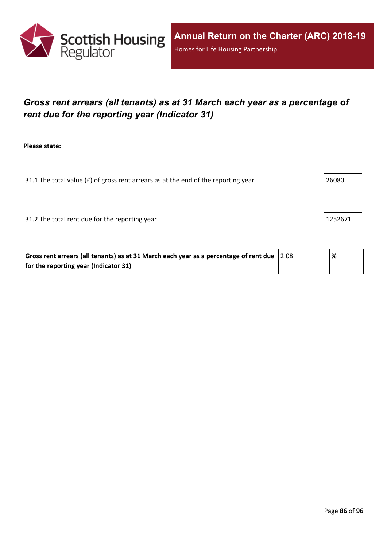

# *Gross rent arrears (all tenants) as at 31 March each year as a percentage of rent due for the reporting year (Indicator 31)*

**Please state:**

31.1 The total value ( $f$ ) of gross rent arrears as at the end of the reporting year  $\vert$  26080

31.2 The total rent due for the reporting year 1252671

| Gross rent arrears (all tenants) as at 31 March each year as a percentage of rent due $ 2.08 $ | % |  |
|------------------------------------------------------------------------------------------------|---|--|
| for the reporting year (Indicator 31)                                                          |   |  |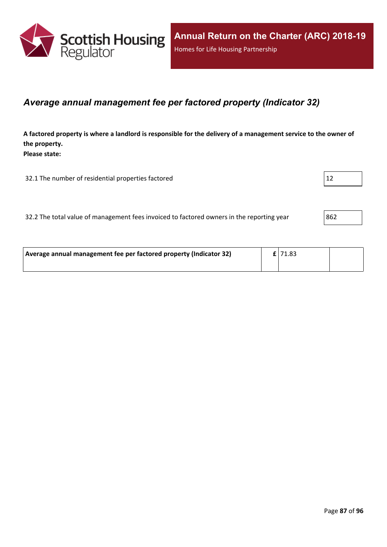

### *Average annual management fee per factored property (Indicator 32)*

A factored property is where a landlord is responsible for the delivery of a management service to the owner of **the property. Please state:**

32.1 The number of residential properties factored 12

| 32.2 The total value of management fees invoiced to factored owners in the reporting year | 862 |
|-------------------------------------------------------------------------------------------|-----|
|-------------------------------------------------------------------------------------------|-----|

| Average annual management fee per factored property (Indicator 32) | $E$  71.83 |  |
|--------------------------------------------------------------------|------------|--|
|                                                                    |            |  |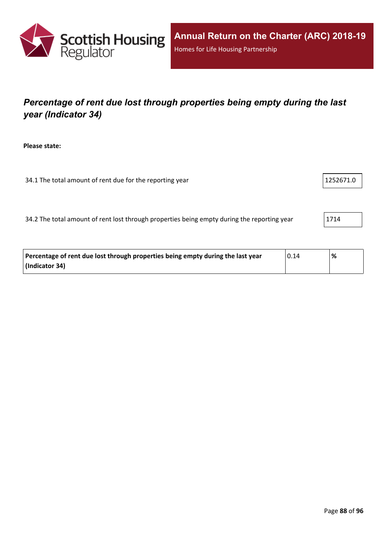

# *Percentage of rent due lost through properties being empty during the last year (Indicator 34)*

**Please state:**

34.1 The total amount of rent due for the reporting year 1252671.0

34.2 The total amount of rent lost through properties being empty during the reporting year 1714

| Percentage of rent due lost through properties being empty during the last year | 0.14 | % |
|---------------------------------------------------------------------------------|------|---|
| (Indicator 34)                                                                  |      |   |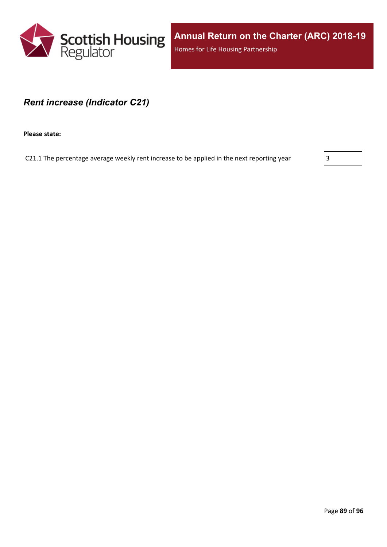

**Annual Return on the Charter (ARC) 2018-19** Homes for Life Housing Partnership

### *Rent increase (Indicator C21)*

**Please state:**

C21.1 The percentage average weekly rent increase to be applied in the next reporting year  $\vert$  3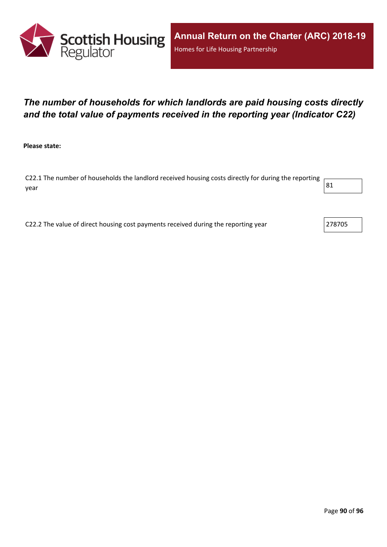

# *The number of households for which landlords are paid housing costs directly and the total value of payments received in the reporting year (Indicator C22)*

**Please state:**

C22.1 The number of households the landlord received housing costs directly for during the reporting year  $\begin{vmatrix} 81 \end{vmatrix}$ 

C22.2 The value of direct housing cost payments received during the reporting year  $\vert$  278705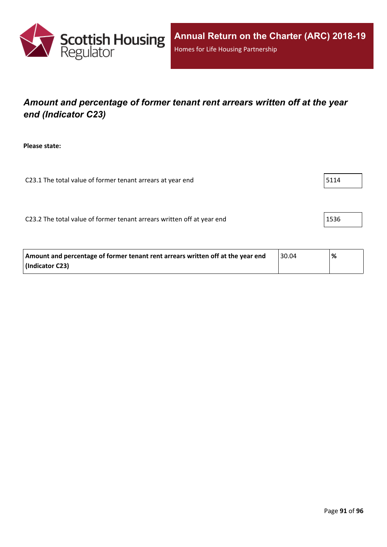

# *Amount and percentage of former tenant rent arrears written off at the year end (Indicator C23)*

**Please state:**

C23.1 The total value of former tenant arrears at year end  $\vert$  5114

C23.2 The total value of former tenant arrears written off at year end 1536

| Amount and percentage of former tenant rent arrears written off at the year end | 30.04 | % |
|---------------------------------------------------------------------------------|-------|---|
| (Indicator C23)                                                                 |       |   |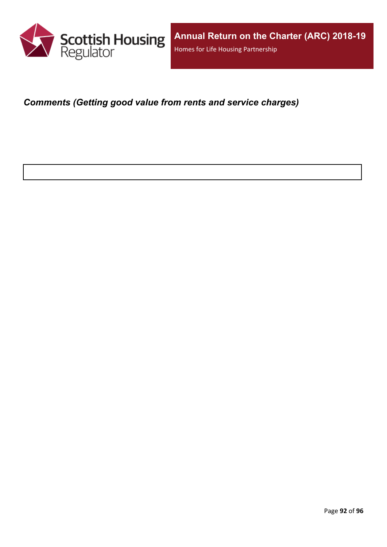

*Comments (Getting good value from rents and service charges)*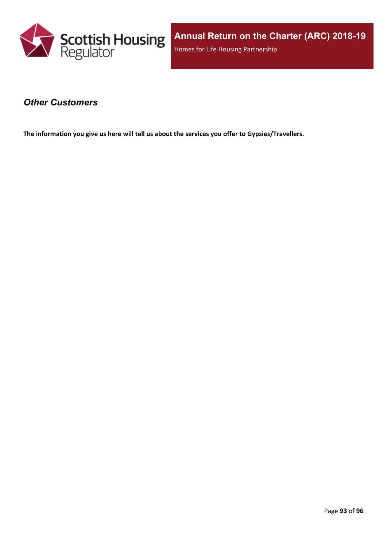

### *Other Customers*

**The information you give us here will tell us about the services you offer to Gypsies/Travellers.**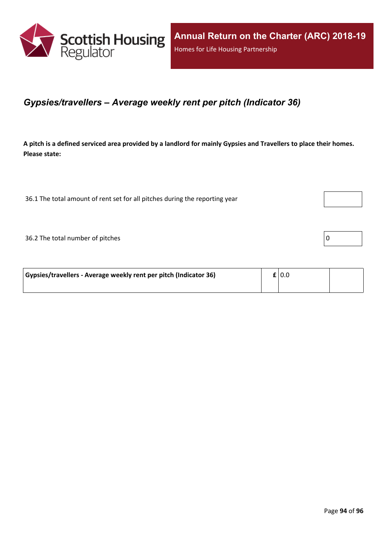

### *Gypsies/travellers – Average weekly rent per pitch (Indicator 36)*

A pitch is a defined serviced area provided by a landlord for mainly Gypsies and Travellers to place their homes. **Please state:**

36.1 The total amount of rent set for all pitches during the reporting year

 $36.2$  The total number of pitches  $\boxed{0}$ 

| Gypsies/travellers - Average weekly rent per pitch (Indicator 36) |  | $\mathbf{f}$   0.0 |  |
|-------------------------------------------------------------------|--|--------------------|--|
|                                                                   |  |                    |  |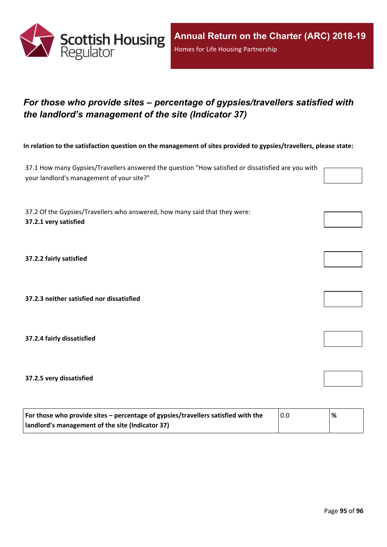

# *For those who provide sites – percentage of gypsies/travellers satisfied with the landlord's management of the site (Indicator 37)*

In relation to the satisfaction question on the management of sites provided to gypsies/travellers, please state:

37.1 How many Gypsies/Travellers answered the question "How satisfied or dissatisfied are you with your landlord's management of your site?"

37.2 Of the Gypsies/Travellers who answered, how many said that they were: **37.2.1 very satisfied**

**37.2.2 fairly satisfied**

**37.2.3 neither satisfied nor dissatisfied**

**37.2.4 fairly dissatisfied**

**37.2.5 very dissatisfied**

| For those who provide sites – percentage of gypsies/travellers satisfied with the | 0.0 | % |
|-----------------------------------------------------------------------------------|-----|---|
| I landlord's management of the site (Indicator 37)                                |     |   |